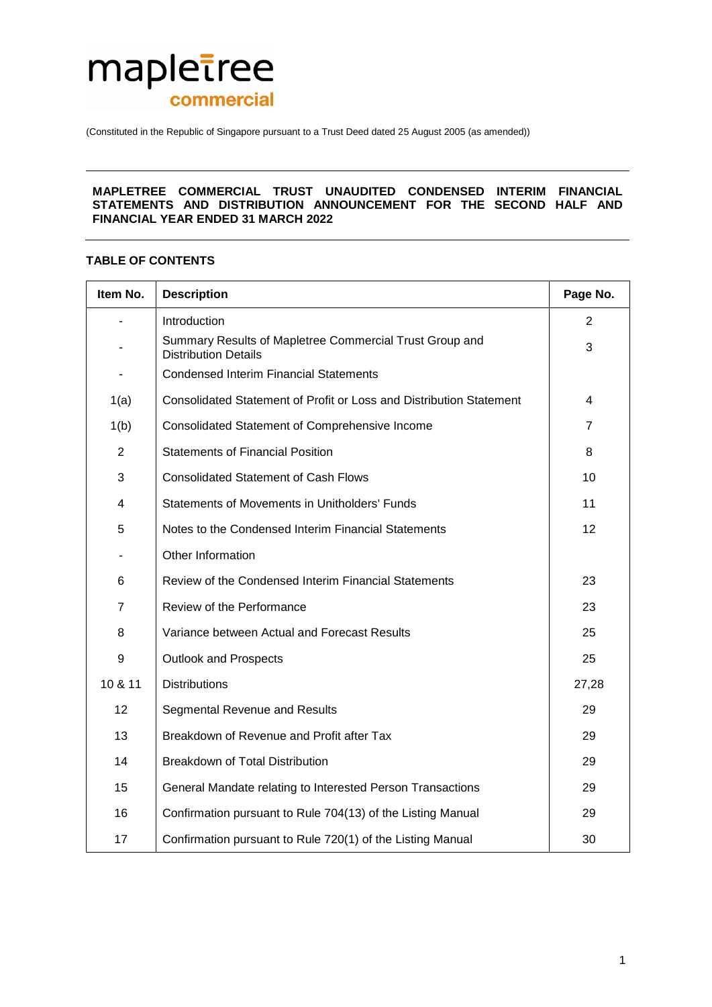

(Constituted in the Republic of Singapore pursuant to a Trust Deed dated 25 August 2005 (as amended))

## **MAPLETREE COMMERCIAL TRUST UNAUDITED CONDENSED INTERIM FINANCIAL STATEMENTS AND DISTRIBUTION ANNOUNCEMENT FOR THE SECOND HALF AND FINANCIAL YEAR ENDED 31 MARCH 2022**

# **TABLE OF CONTENTS**

| Item No. | <b>Description</b>                                                                     | Page No.        |
|----------|----------------------------------------------------------------------------------------|-----------------|
| ٠        | Introduction                                                                           | $\overline{2}$  |
|          | Summary Results of Mapletree Commercial Trust Group and<br><b>Distribution Details</b> | 3               |
|          | <b>Condensed Interim Financial Statements</b>                                          |                 |
| 1(a)     | Consolidated Statement of Profit or Loss and Distribution Statement                    | 4               |
| 1(b)     | Consolidated Statement of Comprehensive Income                                         | 7               |
| 2        | <b>Statements of Financial Position</b>                                                | 8               |
| 3        | <b>Consolidated Statement of Cash Flows</b>                                            | 10              |
| 4        | <b>Statements of Movements in Unitholders' Funds</b>                                   | 11              |
| 5        | Notes to the Condensed Interim Financial Statements                                    | 12 <sup>2</sup> |
|          | Other Information                                                                      |                 |
| 6        | Review of the Condensed Interim Financial Statements                                   | 23              |
| 7        | Review of the Performance                                                              | 23              |
| 8        | Variance between Actual and Forecast Results                                           | 25              |
| 9        | <b>Outlook and Prospects</b>                                                           | 25              |
| 10 & 11  | <b>Distributions</b>                                                                   | 27,28           |
| 12       | Segmental Revenue and Results                                                          | 29              |
| 13       | Breakdown of Revenue and Profit after Tax                                              | 29              |
| 14       | Breakdown of Total Distribution                                                        | 29              |
| 15       | General Mandate relating to Interested Person Transactions                             | 29              |
| 16       | Confirmation pursuant to Rule 704(13) of the Listing Manual                            | 29              |
| 17       | Confirmation pursuant to Rule 720(1) of the Listing Manual                             | 30              |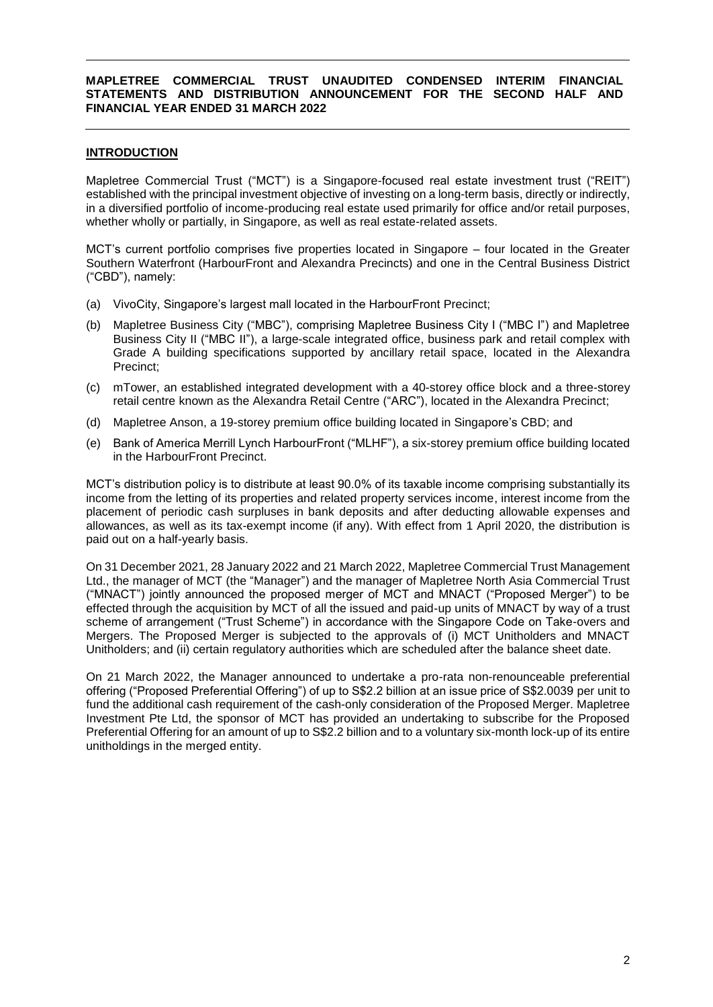# **INTRODUCTION**

Mapletree Commercial Trust ("MCT") is a Singapore-focused real estate investment trust ("REIT") established with the principal investment objective of investing on a long-term basis, directly or indirectly, in a diversified portfolio of income-producing real estate used primarily for office and/or retail purposes, whether wholly or partially, in Singapore, as well as real estate-related assets.

MCT's current portfolio comprises five properties located in Singapore – four located in the Greater Southern Waterfront (HarbourFront and Alexandra Precincts) and one in the Central Business District ("CBD"), namely:

- (a) VivoCity, Singapore's largest mall located in the HarbourFront Precinct;
- (b) Mapletree Business City ("MBC"), comprising Mapletree Business City I ("MBC I") and Mapletree Business City II ("MBC II"), a large-scale integrated office, business park and retail complex with Grade A building specifications supported by ancillary retail space, located in the Alexandra Precinct;
- (c) mTower, an established integrated development with a 40-storey office block and a three-storey retail centre known as the Alexandra Retail Centre ("ARC"), located in the Alexandra Precinct;
- (d) Mapletree Anson, a 19-storey premium office building located in Singapore's CBD; and
- (e) Bank of America Merrill Lynch HarbourFront ("MLHF"), a six-storey premium office building located in the HarbourFront Precinct.

MCT's distribution policy is to distribute at least 90.0% of its taxable income comprising substantially its income from the letting of its properties and related property services income, interest income from the placement of periodic cash surpluses in bank deposits and after deducting allowable expenses and allowances, as well as its tax-exempt income (if any). With effect from 1 April 2020, the distribution is paid out on a half-yearly basis.

On 31 December 2021, 28 January 2022 and 21 March 2022, Mapletree Commercial Trust Management Ltd., the manager of MCT (the "Manager") and the manager of Mapletree North Asia Commercial Trust ("MNACT") jointly announced the proposed merger of MCT and MNACT ("Proposed Merger") to be effected through the acquisition by MCT of all the issued and paid-up units of MNACT by way of a trust scheme of arrangement ("Trust Scheme") in accordance with the Singapore Code on Take-overs and Mergers. The Proposed Merger is subjected to the approvals of (i) MCT Unitholders and MNACT Unitholders; and (ii) certain regulatory authorities which are scheduled after the balance sheet date.

On 21 March 2022, the Manager announced to undertake a pro-rata non-renounceable preferential offering ("Proposed Preferential Offering") of up to S\$2.2 billion at an issue price of S\$2.0039 per unit to fund the additional cash requirement of the cash-only consideration of the Proposed Merger. Mapletree Investment Pte Ltd, the sponsor of MCT has provided an undertaking to subscribe for the Proposed Preferential Offering for an amount of up to S\$2.2 billion and to a voluntary six-month lock-up of its entire unitholdings in the merged entity.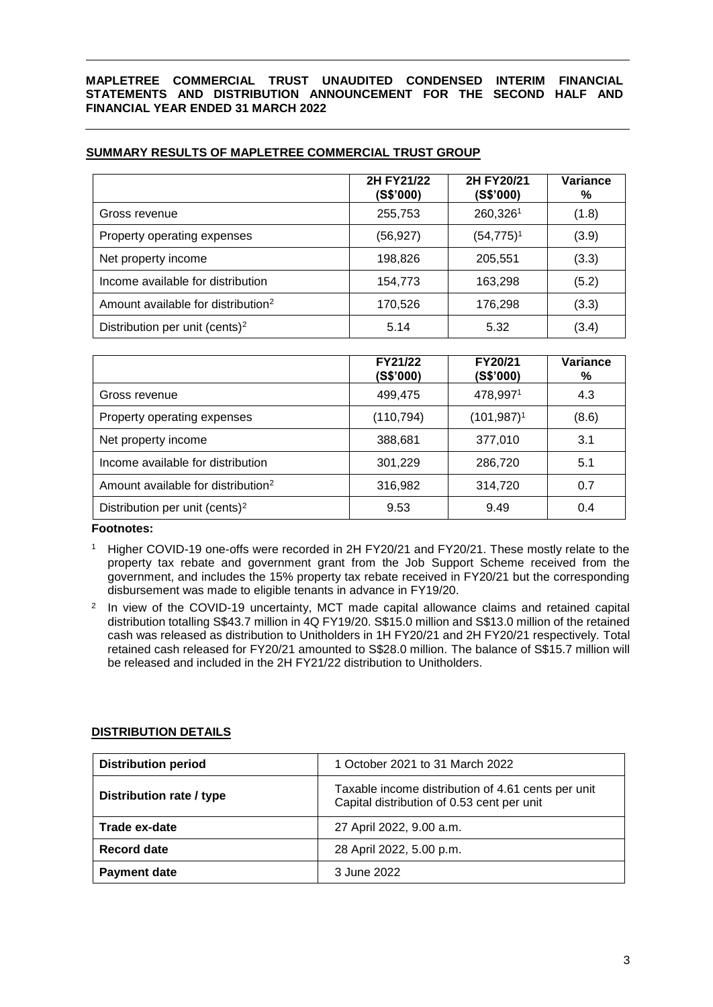|                             | 2H FY21/22<br>(S\$'000) | 2H FY20/21<br>(S\$'000) | Variance<br>% |
|-----------------------------|-------------------------|-------------------------|---------------|
| Gross revenue               | 255,753                 | 260,3261                | (1.8)         |
| Property operating expenses | (56, 927)               | $(54, 775)^1$           | (3.9)         |
| Net property income         | 198,826                 | 205,551                 | (3.3)         |

Income available for distribution  $\vert$  154,773  $\vert$  163,298  $\vert$  (5.2) Amount available for distribution<sup>2</sup> 170,526 176,298 (3.3) Distribution per unit (cents)<sup>2</sup> (3.4) 5.14 (5.32 (3.4)

# **SUMMARY RESULTS OF MAPLETREE COMMERCIAL TRUST GROUP**

|                                                | FY21/22<br>(S\$'000) | FY20/21<br>(S\$'000) | Variance<br>% |
|------------------------------------------------|----------------------|----------------------|---------------|
| Gross revenue                                  | 499,475              | 478,9971             | 4.3           |
| Property operating expenses                    | (110, 794)           | $(101, 987)^1$       | (8.6)         |
| Net property income                            | 388,681              | 377,010              | 3.1           |
| Income available for distribution              | 301,229              | 286,720              | 5.1           |
| Amount available for distribution <sup>2</sup> | 316,982              | 314,720              | 0.7           |
| Distribution per unit (cents) <sup>2</sup>     | 9.53                 | 9.49                 | 0.4           |

### **Footnotes:**

- <sup>1</sup> Higher COVID-19 one-offs were recorded in 2H FY20/21 and FY20/21. These mostly relate to the property tax rebate and government grant from the Job Support Scheme received from the government, and includes the 15% property tax rebate received in FY20/21 but the corresponding disbursement was made to eligible tenants in advance in FY19/20.
- 2 In view of the COVID-19 uncertainty, MCT made capital allowance claims and retained capital distribution totalling S\$43.7 million in 4Q FY19/20. S\$15.0 million and S\$13.0 million of the retained cash was released as distribution to Unitholders in 1H FY20/21 and 2H FY20/21 respectively. Total retained cash released for FY20/21 amounted to S\$28.0 million. The balance of S\$15.7 million will be released and included in the 2H FY21/22 distribution to Unitholders.

### **DISTRIBUTION DETAILS**

| <b>Distribution period</b> | 1 October 2021 to 31 March 2022                                                                  |
|----------------------------|--------------------------------------------------------------------------------------------------|
| Distribution rate / type   | Taxable income distribution of 4.61 cents per unit<br>Capital distribution of 0.53 cent per unit |
| Trade ex-date              | 27 April 2022, 9.00 a.m.                                                                         |
| Record date                | 28 April 2022, 5.00 p.m.                                                                         |
| <b>Payment date</b>        | 3 June 2022                                                                                      |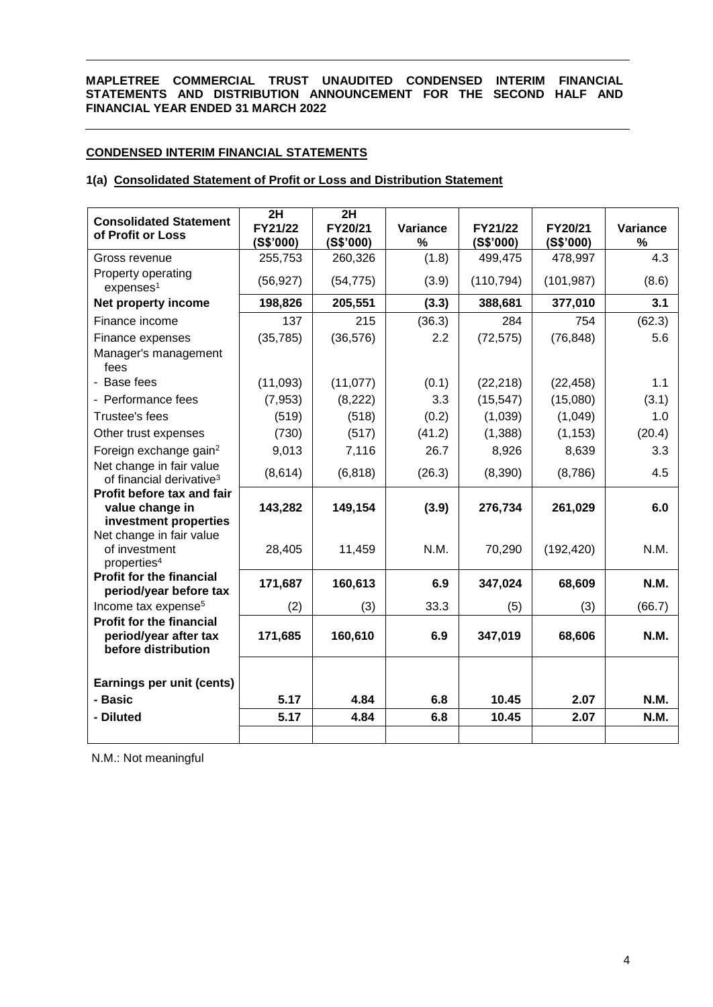# **CONDENSED INTERIM FINANCIAL STATEMENTS**

## **1(a) Consolidated Statement of Profit or Loss and Distribution Statement**

| <b>Consolidated Statement</b><br>of Profit or Loss                              | 2H<br>FY21/22<br>(S\$'000) | 2H<br>FY20/21<br>(S\$'000) | Variance<br>% | FY21/22<br>(S\$'000) | FY20/21<br>(S\$'000) | Variance<br>% |
|---------------------------------------------------------------------------------|----------------------------|----------------------------|---------------|----------------------|----------------------|---------------|
| Gross revenue                                                                   | 255,753                    | 260,326                    | (1.8)         | 499,475              | 478,997              | 4.3           |
| Property operating<br>expenses <sup>1</sup>                                     | (56, 927)                  | (54, 775)                  | (3.9)         | (110, 794)           | (101, 987)           | (8.6)         |
| Net property income                                                             | 198,826                    | 205,551                    | (3.3)         | 388,681              | 377,010              | 3.1           |
| Finance income                                                                  | 137                        | 215                        | (36.3)        | 284                  | 754                  | (62.3)        |
| Finance expenses                                                                | (35, 785)                  | (36, 576)                  | 2.2           | (72, 575)            | (76, 848)            | 5.6           |
| Manager's management<br>fees                                                    |                            |                            |               |                      |                      |               |
| - Base fees                                                                     | (11,093)                   | (11,077)                   | (0.1)         | (22, 218)            | (22, 458)            | 1.1           |
| - Performance fees                                                              | (7, 953)                   | (8,222)                    | 3.3           | (15, 547)            | (15,080)             | (3.1)         |
| Trustee's fees                                                                  | (519)                      | (518)                      | (0.2)         | (1,039)              | (1,049)              | 1.0           |
| Other trust expenses                                                            | (730)                      | (517)                      | (41.2)        | (1,388)              | (1, 153)             | (20.4)        |
| Foreign exchange gain <sup>2</sup>                                              | 9,013                      | 7,116                      | 26.7          | 8,926                | 8,639                | 3.3           |
| Net change in fair value<br>of financial derivative <sup>3</sup>                | (8,614)                    | (6, 818)                   | (26.3)        | (8,390)              | (8,786)              | 4.5           |
| Profit before tax and fair<br>value change in<br>investment properties          | 143,282                    | 149,154                    | (3.9)         | 276,734              | 261,029              | 6.0           |
| Net change in fair value<br>of investment<br>properties <sup>4</sup>            | 28,405                     | 11,459                     | N.M.          | 70,290               | (192, 420)           | N.M.          |
| <b>Profit for the financial</b><br>period/year before tax                       | 171,687                    | 160,613                    | 6.9           | 347,024              | 68,609               | <b>N.M.</b>   |
| Income tax expense <sup>5</sup>                                                 | (2)                        | (3)                        | 33.3          | (5)                  | (3)                  | (66.7)        |
| <b>Profit for the financial</b><br>period/year after tax<br>before distribution | 171,685                    | 160,610                    | 6.9           | 347,019              | 68,606               | <b>N.M.</b>   |
| Earnings per unit (cents)                                                       |                            |                            |               |                      |                      |               |
| - Basic                                                                         | 5.17                       | 4.84                       | 6.8           | 10.45                | 2.07                 | <b>N.M.</b>   |
| - Diluted                                                                       | 5.17                       | 4.84                       | 6.8           | 10.45                | 2.07                 | <b>N.M.</b>   |
|                                                                                 |                            |                            |               |                      |                      |               |

N.M.: Not meaningful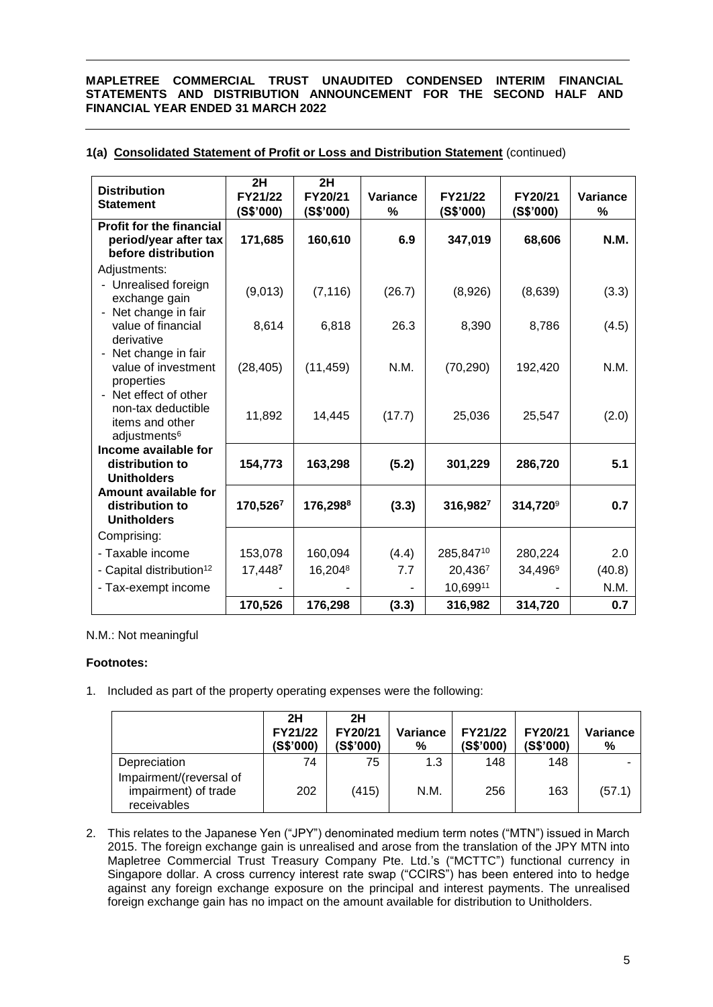| <b>Distribution</b><br><b>Statement</b>                                                  | 2H<br>FY21/22<br>(S\$'000) | 2H<br>FY20/21<br>(S\$'000) | <b>Variance</b><br>% | FY21/22<br>(S\$'000) | FY20/21<br>(S\$'000) | Variance<br>% |
|------------------------------------------------------------------------------------------|----------------------------|----------------------------|----------------------|----------------------|----------------------|---------------|
| <b>Profit for the financial</b><br>period/year after tax<br>before distribution          | 171,685                    | 160,610                    | 6.9                  | 347,019              | 68,606               | N.M.          |
| Adjustments:                                                                             |                            |                            |                      |                      |                      |               |
| Unrealised foreign<br>exchange gain                                                      | (9,013)                    | (7, 116)                   | (26.7)               | (8,926)              | (8,639)              | (3.3)         |
| Net change in fair<br>value of financial<br>derivative                                   | 8,614                      | 6,818                      | 26.3                 | 8,390                | 8,786                | (4.5)         |
| Net change in fair<br>value of investment<br>properties                                  | (28, 405)                  | (11, 459)                  | N.M.                 | (70, 290)            | 192,420              | N.M.          |
| Net effect of other<br>non-tax deductible<br>items and other<br>adjustments <sup>6</sup> | 11,892                     | 14,445                     | (17.7)               | 25,036               | 25,547               | (2.0)         |
| Income available for<br>distribution to<br><b>Unitholders</b>                            | 154,773                    | 163,298                    | (5.2)                | 301,229              | 286,720              | 5.1           |
| Amount available for<br>distribution to<br><b>Unitholders</b>                            | 170,5267                   | 176,298 <sup>8</sup>       | (3.3)                | 316,9827             | 314,720 <sup>9</sup> | 0.7           |
| Comprising:                                                                              |                            |                            |                      |                      |                      |               |
| - Taxable income                                                                         | 153,078                    | 160,094                    | (4.4)                | 285,84710            | 280,224              | 2.0           |
| - Capital distribution <sup>12</sup>                                                     | 17,4487                    | 16,2048                    | 7.7                  | 20,4367              | 34,4969              | (40.8)        |
| - Tax-exempt income                                                                      |                            |                            |                      | 10,69911             |                      | N.M.          |
|                                                                                          | 170,526                    | 176,298                    | (3.3)                | 316,982              | 314,720              | 0.7           |

# **1(a) Consolidated Statement of Profit or Loss and Distribution Statement** (continued)

## N.M.: Not meaningful

### **Footnotes:**

1. Included as part of the property operating expenses were the following:

|                                                                | 2H<br>FY21/22<br>(S\$'000) | 2H<br>FY20/21<br>(S\$'000) | Variance<br>% | FY21/22<br>(S\$'000) | FY20/21<br>(S\$'000) | Variance<br>% |
|----------------------------------------------------------------|----------------------------|----------------------------|---------------|----------------------|----------------------|---------------|
| Depreciation                                                   | 74                         | 75                         | 1.3           | 148                  | 148                  |               |
| Impairment/(reversal of<br>impairment) of trade<br>receivables | 202                        | (415)                      | N.M.          | 256                  | 163                  | (57.1)        |

2. This relates to the Japanese Yen ("JPY") denominated medium term notes ("MTN") issued in March 2015. The foreign exchange gain is unrealised and arose from the translation of the JPY MTN into Mapletree Commercial Trust Treasury Company Pte. Ltd.'s ("MCTTC") functional currency in Singapore dollar. A cross currency interest rate swap ("CCIRS") has been entered into to hedge against any foreign exchange exposure on the principal and interest payments. The unrealised foreign exchange gain has no impact on the amount available for distribution to Unitholders.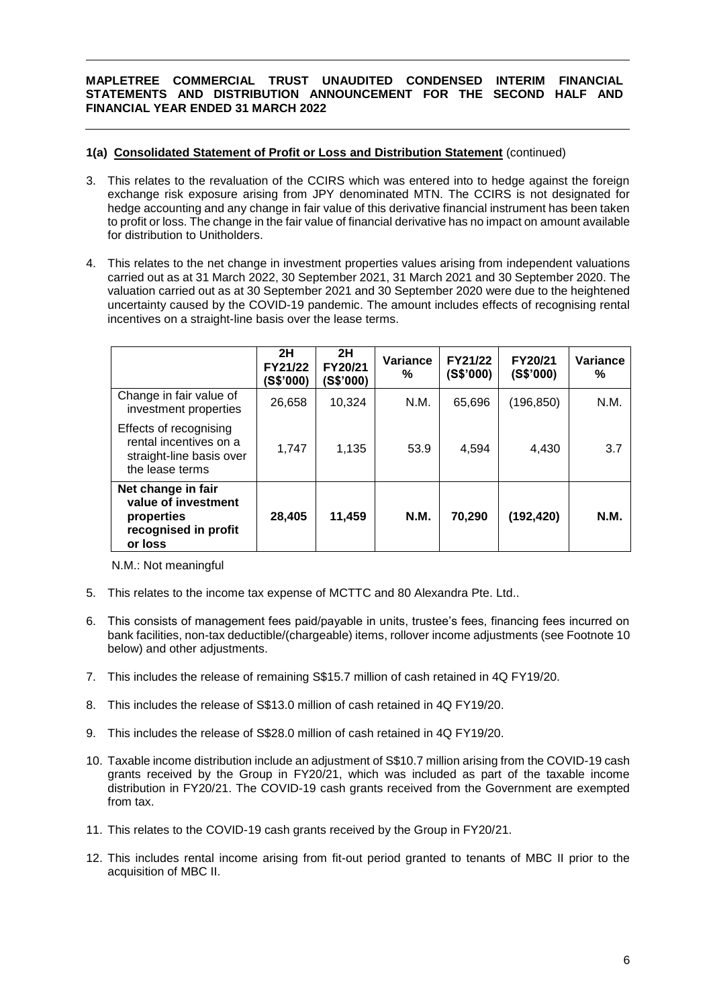### **1(a) Consolidated Statement of Profit or Loss and Distribution Statement** (continued)

- 3. This relates to the revaluation of the CCIRS which was entered into to hedge against the foreign exchange risk exposure arising from JPY denominated MTN. The CCIRS is not designated for hedge accounting and any change in fair value of this derivative financial instrument has been taken to profit or loss. The change in the fair value of financial derivative has no impact on amount available for distribution to Unitholders.
- 4. This relates to the net change in investment properties values arising from independent valuations carried out as at 31 March 2022, 30 September 2021, 31 March 2021 and 30 September 2020. The valuation carried out as at 30 September 2021 and 30 September 2020 were due to the heightened uncertainty caused by the COVID-19 pandemic. The amount includes effects of recognising rental incentives on a straight-line basis over the lease terms.

|                                                                                                 | 2H<br>FY21/22<br>(S\$'000) | 2H<br>FY20/21<br>(S\$'000) | Variance<br>% | FY21/22<br>(S\$'000) | FY20/21<br>(S\$'000) | Variance<br>% |
|-------------------------------------------------------------------------------------------------|----------------------------|----------------------------|---------------|----------------------|----------------------|---------------|
| Change in fair value of<br>investment properties                                                | 26,658                     | 10,324                     | N.M.          | 65,696               | (196, 850)           | N.M.          |
| Effects of recognising<br>rental incentives on a<br>straight-line basis over<br>the lease terms | 1,747                      | 1,135                      | 53.9          | 4,594                | 4,430                | 3.7           |
| Net change in fair<br>value of investment<br>properties<br>recognised in profit<br>or loss      | 28,405                     | 11,459                     | N.M.          | 70,290               | (192, 420)           | <b>N.M.</b>   |

N.M.: Not meaningful

- 5. This relates to the income tax expense of MCTTC and 80 Alexandra Pte. Ltd..
- 6. This consists of management fees paid/payable in units, trustee's fees, financing fees incurred on bank facilities, non-tax deductible/(chargeable) items, rollover income adjustments (see Footnote 10 below) and other adjustments.
- 7. This includes the release of remaining S\$15.7 million of cash retained in 4Q FY19/20.
- 8. This includes the release of S\$13.0 million of cash retained in 4Q FY19/20.
- 9. This includes the release of S\$28.0 million of cash retained in 4Q FY19/20.
- 10. Taxable income distribution include an adjustment of S\$10.7 million arising from the COVID-19 cash grants received by the Group in FY20/21, which was included as part of the taxable income distribution in FY20/21. The COVID-19 cash grants received from the Government are exempted from tax.
- 11. This relates to the COVID-19 cash grants received by the Group in FY20/21.
- 12. This includes rental income arising from fit-out period granted to tenants of MBC II prior to the acquisition of MBC II.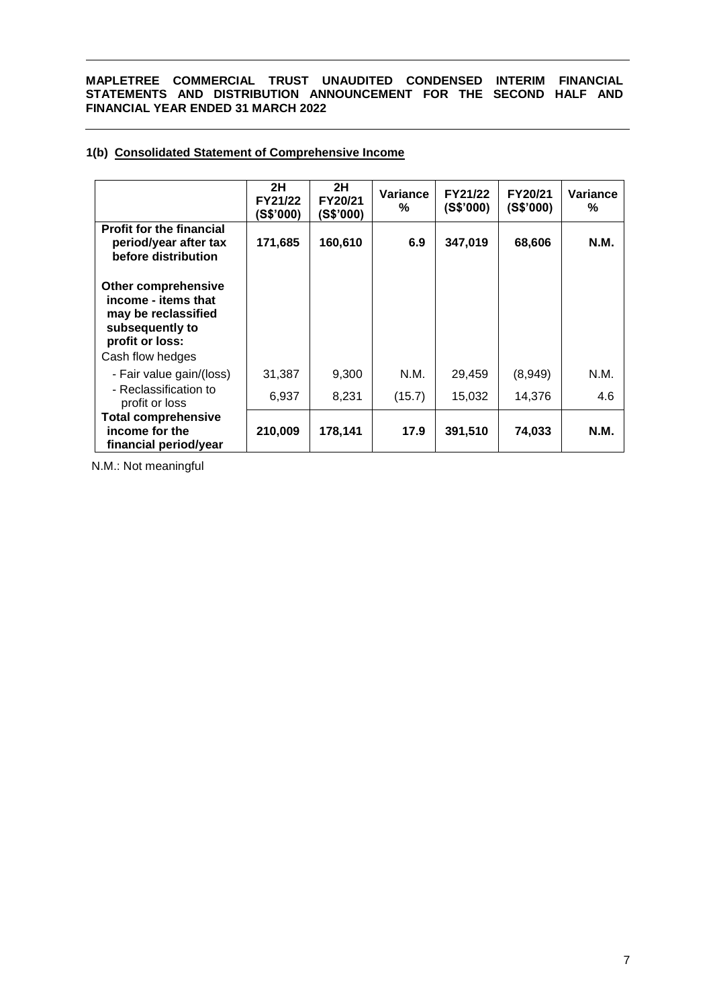# **1(b) Consolidated Statement of Comprehensive Income**

|                                                                                                                             | 2H<br>FY21/22<br>(S\$'000) | 2H<br>FY20/21<br>(S\$'000) | Variance<br>% | FY21/22<br>(S\$'000) | <b>FY20/21</b><br>(S\$'000) | Variance<br>% |
|-----------------------------------------------------------------------------------------------------------------------------|----------------------------|----------------------------|---------------|----------------------|-----------------------------|---------------|
| <b>Profit for the financial</b><br>period/year after tax<br>before distribution                                             | 171,685                    | 160,610                    | 6.9           | 347,019              | 68,606                      | <b>N.M.</b>   |
| Other comprehensive<br>income - items that<br>may be reclassified<br>subsequently to<br>profit or loss:<br>Cash flow hedges |                            |                            |               |                      |                             |               |
| - Fair value gain/(loss)                                                                                                    | 31,387                     | 9,300                      | N.M.          | 29,459               | (8,949)                     | N.M.          |
| - Reclassification to<br>profit or loss                                                                                     | 6,937                      | 8,231                      | (15.7)        | 15,032               | 14,376                      | 4.6           |
| <b>Total comprehensive</b><br>income for the<br>financial period/year                                                       | 210,009                    | 178,141                    | 17.9          | 391,510              | 74,033                      | N.M.          |

N.M.: Not meaningful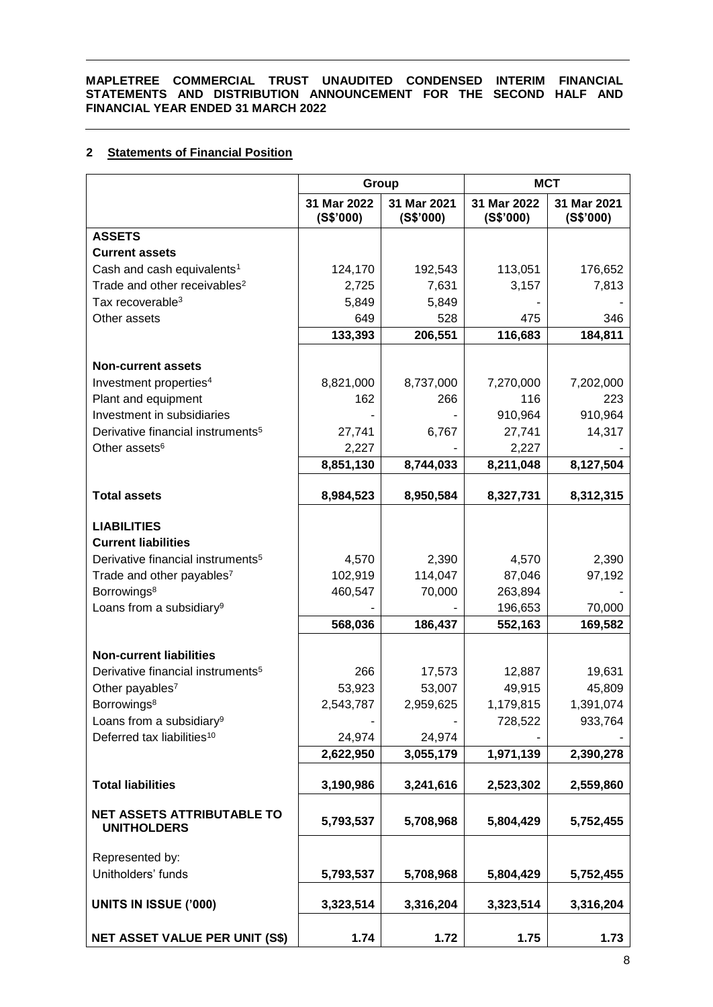# **2 Statements of Financial Position**

|                                                                                                                                                                                                   | Group                                  |                                       | <b>MCT</b>                                       |                                      |  |
|---------------------------------------------------------------------------------------------------------------------------------------------------------------------------------------------------|----------------------------------------|---------------------------------------|--------------------------------------------------|--------------------------------------|--|
|                                                                                                                                                                                                   | 31 Mar 2022<br>(S\$'000)               | 31 Mar 2021<br>(S\$'000)              | 31 Mar 2022<br>(S\$'000)                         | 31 Mar 2021<br>(S\$'000)             |  |
| <b>ASSETS</b>                                                                                                                                                                                     |                                        |                                       |                                                  |                                      |  |
| <b>Current assets</b>                                                                                                                                                                             |                                        |                                       |                                                  |                                      |  |
| Cash and cash equivalents <sup>1</sup>                                                                                                                                                            | 124,170                                | 192,543                               | 113,051                                          | 176,652                              |  |
| Trade and other receivables <sup>2</sup>                                                                                                                                                          | 2,725                                  | 7,631                                 | 3,157                                            | 7,813                                |  |
| Tax recoverable <sup>3</sup>                                                                                                                                                                      | 5,849                                  | 5,849                                 |                                                  |                                      |  |
| Other assets                                                                                                                                                                                      | 649<br>133,393                         | 528<br>206,551                        | 475<br>116,683                                   | 346<br>184,811                       |  |
|                                                                                                                                                                                                   |                                        |                                       |                                                  |                                      |  |
| <b>Non-current assets</b>                                                                                                                                                                         |                                        |                                       |                                                  |                                      |  |
| Investment properties <sup>4</sup>                                                                                                                                                                | 8,821,000                              | 8,737,000                             | 7,270,000                                        | 7,202,000                            |  |
| Plant and equipment                                                                                                                                                                               | 162                                    | 266                                   | 116                                              | 223                                  |  |
| Investment in subsidiaries                                                                                                                                                                        |                                        |                                       | 910,964                                          | 910,964                              |  |
| Derivative financial instruments <sup>5</sup>                                                                                                                                                     | 27,741                                 | 6,767                                 | 27,741                                           | 14,317                               |  |
| Other assets <sup>6</sup>                                                                                                                                                                         | 2,227                                  |                                       | 2,227                                            |                                      |  |
|                                                                                                                                                                                                   | 8,851,130                              | 8,744,033                             | 8,211,048                                        | 8,127,504                            |  |
| <b>Total assets</b>                                                                                                                                                                               | 8,984,523                              | 8,950,584                             | 8,327,731                                        | 8,312,315                            |  |
| <b>LIABILITIES</b><br><b>Current liabilities</b><br>Derivative financial instruments <sup>5</sup><br>Trade and other payables7<br>Borrowings <sup>8</sup><br>Loans from a subsidiary <sup>9</sup> | 4,570<br>102,919<br>460,547<br>568,036 | 2,390<br>114,047<br>70,000<br>186,437 | 4,570<br>87,046<br>263,894<br>196,653<br>552,163 | 2,390<br>97,192<br>70,000<br>169,582 |  |
|                                                                                                                                                                                                   |                                        |                                       |                                                  |                                      |  |
| <b>Non-current liabilities</b><br>Derivative financial instruments <sup>5</sup>                                                                                                                   | 266                                    |                                       |                                                  | 19,631                               |  |
| Other payables <sup>7</sup>                                                                                                                                                                       | 53,923                                 | 17,573<br>53,007                      | 12,887<br>49,915                                 | 45,809                               |  |
| Borrowings <sup>8</sup>                                                                                                                                                                           | 2,543,787                              | 2,959,625                             | 1,179,815                                        | 1,391,074                            |  |
| Loans from a subsidiary <sup>9</sup>                                                                                                                                                              |                                        |                                       | 728,522                                          | 933,764                              |  |
| Deferred tax liabilities <sup>10</sup>                                                                                                                                                            | 24,974                                 | 24,974                                |                                                  |                                      |  |
|                                                                                                                                                                                                   | 2,622,950                              | 3,055,179                             | 1,971,139                                        | 2,390,278                            |  |
| <b>Total liabilities</b>                                                                                                                                                                          | 3,190,986                              | 3,241,616                             | 2,523,302                                        | 2,559,860                            |  |
|                                                                                                                                                                                                   |                                        |                                       |                                                  |                                      |  |
| <b>NET ASSETS ATTRIBUTABLE TO</b><br><b>UNITHOLDERS</b>                                                                                                                                           | 5,793,537                              | 5,708,968                             | 5,804,429                                        | 5,752,455                            |  |
| Represented by:                                                                                                                                                                                   |                                        |                                       |                                                  |                                      |  |
| Unitholders' funds                                                                                                                                                                                | 5,793,537                              | 5,708,968                             | 5,804,429                                        | 5,752,455                            |  |
| <b>UNITS IN ISSUE ('000)</b>                                                                                                                                                                      | 3,323,514                              | 3,316,204                             | 3,323,514                                        | 3,316,204                            |  |
| <b>NET ASSET VALUE PER UNIT (S\$)</b>                                                                                                                                                             | 1.74                                   | 1.72                                  | 1.75                                             | 1.73                                 |  |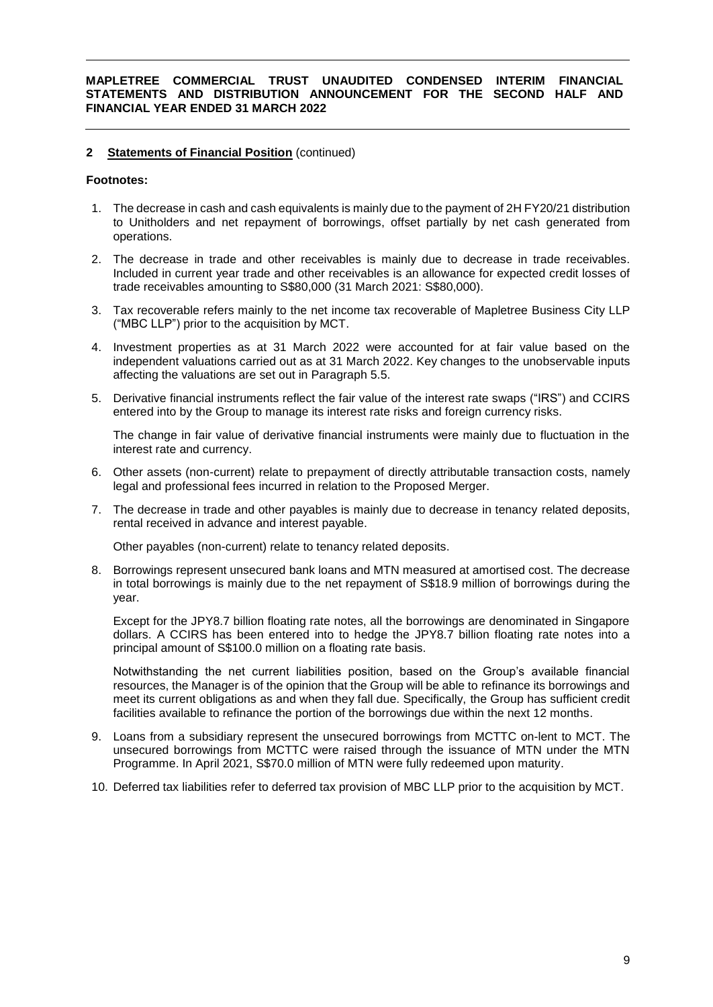### **2 Statements of Financial Position** (continued)

#### **Footnotes:**

- 1. The decrease in cash and cash equivalents is mainly due to the payment of 2H FY20/21 distribution to Unitholders and net repayment of borrowings, offset partially by net cash generated from operations.
- 2. The decrease in trade and other receivables is mainly due to decrease in trade receivables. Included in current year trade and other receivables is an allowance for expected credit losses of trade receivables amounting to S\$80,000 (31 March 2021: S\$80,000).
- 3. Tax recoverable refers mainly to the net income tax recoverable of Mapletree Business City LLP ("MBC LLP") prior to the acquisition by MCT.
- 4. Investment properties as at 31 March 2022 were accounted for at fair value based on the independent valuations carried out as at 31 March 2022. Key changes to the unobservable inputs affecting the valuations are set out in Paragraph 5.5.
- 5. Derivative financial instruments reflect the fair value of the interest rate swaps ("IRS") and CCIRS entered into by the Group to manage its interest rate risks and foreign currency risks.

The change in fair value of derivative financial instruments were mainly due to fluctuation in the interest rate and currency.

- 6. Other assets (non-current) relate to prepayment of directly attributable transaction costs, namely legal and professional fees incurred in relation to the Proposed Merger.
- 7. The decrease in trade and other payables is mainly due to decrease in tenancy related deposits, rental received in advance and interest payable.

Other payables (non-current) relate to tenancy related deposits.

8. Borrowings represent unsecured bank loans and MTN measured at amortised cost. The decrease in total borrowings is mainly due to the net repayment of S\$18.9 million of borrowings during the year.

Except for the JPY8.7 billion floating rate notes, all the borrowings are denominated in Singapore dollars. A CCIRS has been entered into to hedge the JPY8.7 billion floating rate notes into a principal amount of S\$100.0 million on a floating rate basis.

Notwithstanding the net current liabilities position, based on the Group's available financial resources, the Manager is of the opinion that the Group will be able to refinance its borrowings and meet its current obligations as and when they fall due. Specifically, the Group has sufficient credit facilities available to refinance the portion of the borrowings due within the next 12 months.

- 9. Loans from a subsidiary represent the unsecured borrowings from MCTTC on-lent to MCT. The unsecured borrowings from MCTTC were raised through the issuance of MTN under the MTN Programme. In April 2021, S\$70.0 million of MTN were fully redeemed upon maturity.
- 10. Deferred tax liabilities refer to deferred tax provision of MBC LLP prior to the acquisition by MCT.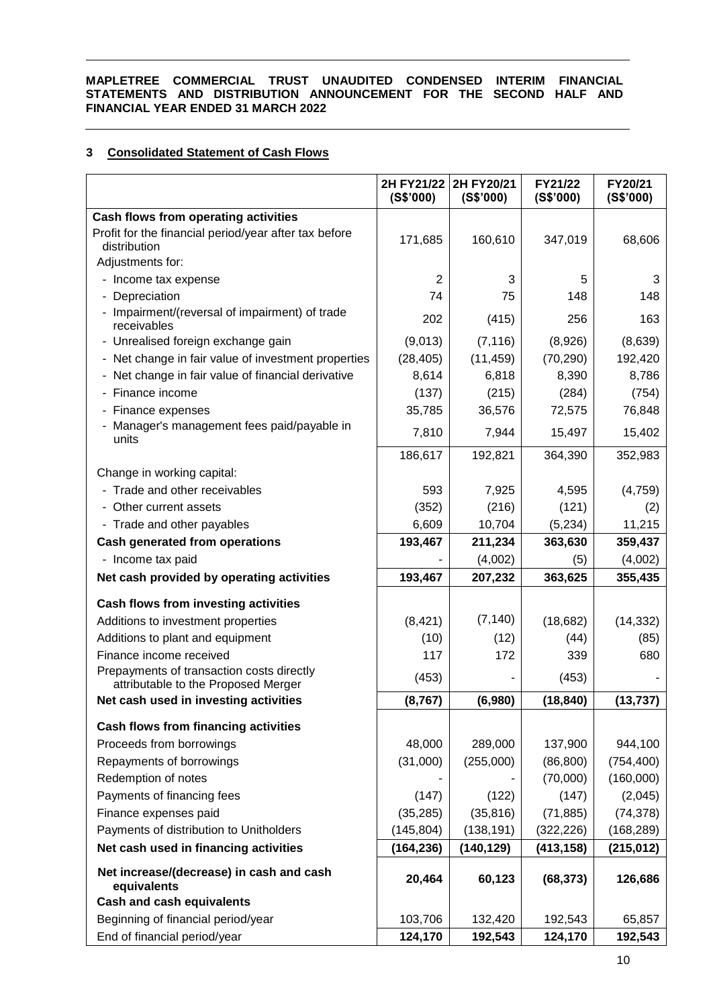# **3 Consolidated Statement of Cash Flows**

|                                                                                  | (S\$'000)      | 2H FY21/22 2H FY20/21<br>(S\$'000) | FY21/22<br>(S\$'000) | FY20/21<br>(S\$'000) |
|----------------------------------------------------------------------------------|----------------|------------------------------------|----------------------|----------------------|
| Cash flows from operating activities                                             |                |                                    |                      |                      |
| Profit for the financial period/year after tax before                            | 171,685        | 160,610                            | 347,019              | 68,606               |
| distribution                                                                     |                |                                    |                      |                      |
| Adjustments for:                                                                 |                |                                    |                      |                      |
| - Income tax expense                                                             | $\overline{2}$ | 3                                  | 5                    | 3                    |
| Depreciation                                                                     | 74             | 75                                 | 148                  | 148                  |
| - Impairment/(reversal of impairment) of trade<br>receivables                    | 202            | (415)                              | 256                  | 163                  |
| - Unrealised foreign exchange gain                                               | (9,013)        | (7, 116)                           | (8,926)              | (8,639)              |
| - Net change in fair value of investment properties                              | (28, 405)      | (11, 459)                          | (70, 290)            | 192,420              |
| - Net change in fair value of financial derivative                               | 8,614          | 6,818                              | 8,390                | 8,786                |
| - Finance income                                                                 | (137)          | (215)                              | (284)                | (754)                |
| - Finance expenses                                                               | 35,785         | 36,576                             | 72,575               | 76,848               |
| - Manager's management fees paid/payable in<br>units                             | 7,810          | 7,944                              | 15,497               | 15,402               |
|                                                                                  | 186,617        | 192,821                            | 364,390              | 352,983              |
| Change in working capital:                                                       |                |                                    |                      |                      |
| - Trade and other receivables                                                    | 593            | 7,925                              | 4,595                | (4,759)              |
| - Other current assets                                                           | (352)          | (216)                              | (121)                | (2)                  |
| - Trade and other payables                                                       | 6,609          | 10,704                             | (5,234)              | 11,215               |
| <b>Cash generated from operations</b>                                            | 193,467        | 211,234                            | 363,630              | 359,437              |
| - Income tax paid                                                                |                | (4,002)                            | (5)                  | (4,002)              |
| Net cash provided by operating activities                                        | 193,467        | 207,232                            | 363,625              | 355,435              |
| Cash flows from investing activities                                             |                |                                    |                      |                      |
| Additions to investment properties                                               | (8,421)        | (7, 140)                           | (18,682)             | (14, 332)            |
| Additions to plant and equipment                                                 | (10)           | (12)                               | (44)                 | (85)                 |
| Finance income received                                                          | 117            | 172                                | 339                  | 680                  |
| Prepayments of transaction costs directly<br>attributable to the Proposed Merger | (453)          |                                    | (453)                |                      |
| Net cash used in investing activities                                            | (8, 767)       | (6,980)                            | (18, 840)            | (13, 737)            |
| <b>Cash flows from financing activities</b>                                      |                |                                    |                      |                      |
| Proceeds from borrowings                                                         | 48,000         | 289,000                            | 137,900              | 944,100              |
| Repayments of borrowings                                                         | (31,000)       | (255,000)                          | (86, 800)            | (754, 400)           |
| Redemption of notes                                                              |                |                                    | (70,000)             | (160,000)            |
| Payments of financing fees                                                       | (147)          | (122)                              | (147)                | (2,045)              |
| Finance expenses paid                                                            | (35, 285)      | (35, 816)                          | (71, 885)            | (74, 378)            |
| Payments of distribution to Unitholders                                          | (145, 804)     | (138, 191)                         | (322, 226)           | (168, 289)           |
|                                                                                  |                |                                    |                      |                      |
| Net cash used in financing activities                                            | (164, 236)     | (140, 129)                         | (413, 158)           | (215, 012)           |
| Net increase/(decrease) in cash and cash<br>equivalents                          | 20,464         | 60,123                             | (68, 373)            | 126,686              |
| <b>Cash and cash equivalents</b>                                                 |                |                                    |                      |                      |
| Beginning of financial period/year                                               | 103,706        | 132,420                            | 192,543              | 65,857               |
| End of financial period/year                                                     | 124,170        | 192,543                            | 124,170              | 192,543              |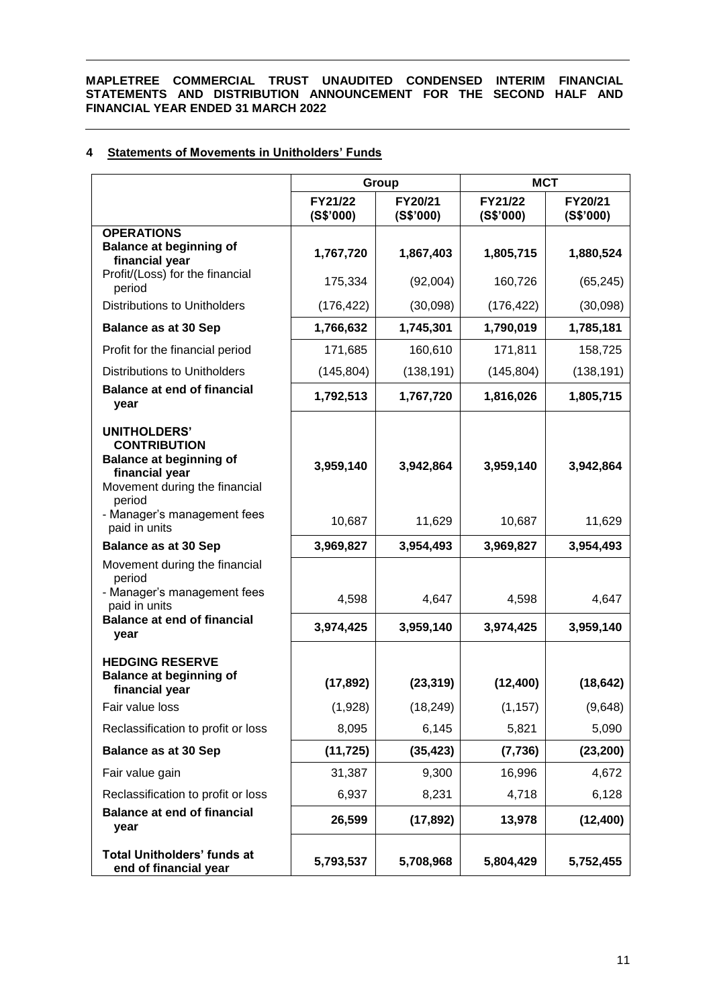# **4 Statements of Movements in Unitholders' Funds**

|                                                                                                                                           |                      | Group                | <b>MCT</b>           |                      |  |
|-------------------------------------------------------------------------------------------------------------------------------------------|----------------------|----------------------|----------------------|----------------------|--|
|                                                                                                                                           | FY21/22<br>(S\$'000) | FY20/21<br>(S\$'000) | FY21/22<br>(S\$'000) | FY20/21<br>(S\$'000) |  |
| <b>OPERATIONS</b><br><b>Balance at beginning of</b><br>financial year                                                                     | 1,767,720            | 1,867,403            | 1,805,715            | 1,880,524            |  |
| Profit/(Loss) for the financial<br>period                                                                                                 | 175,334              | (92,004)             | 160,726              | (65, 245)            |  |
| <b>Distributions to Unitholders</b>                                                                                                       | (176, 422)           | (30,098)             | (176, 422)           | (30,098)             |  |
| <b>Balance as at 30 Sep</b>                                                                                                               | 1,766,632            | 1,745,301            | 1,790,019            | 1,785,181            |  |
| Profit for the financial period                                                                                                           | 171,685              | 160,610              | 171,811              | 158,725              |  |
| <b>Distributions to Unitholders</b>                                                                                                       | (145, 804)           | (138, 191)           | (145, 804)           | (138, 191)           |  |
| <b>Balance at end of financial</b><br>year                                                                                                | 1,792,513            | 1,767,720            | 1,816,026            | 1,805,715            |  |
| <b>UNITHOLDERS'</b><br><b>CONTRIBUTION</b><br><b>Balance at beginning of</b><br>financial year<br>Movement during the financial<br>period | 3,959,140            | 3,942,864            | 3,959,140            | 3,942,864            |  |
| - Manager's management fees<br>paid in units                                                                                              | 10,687               | 11,629               | 10,687               | 11,629               |  |
| <b>Balance as at 30 Sep</b>                                                                                                               | 3,969,827            | 3,954,493            | 3,969,827            | 3,954,493            |  |
| Movement during the financial<br>period<br>- Manager's management fees<br>paid in units                                                   | 4,598                | 4,647                | 4,598                | 4,647                |  |
| <b>Balance at end of financial</b><br>year                                                                                                | 3,974,425            | 3,959,140            | 3,974,425            | 3,959,140            |  |
| <b>HEDGING RESERVE</b><br><b>Balance at beginning of</b><br>financial year                                                                | (17, 892)            | (23, 319)            | (12, 400)            | (18, 642)            |  |
| Fair value loss                                                                                                                           | (1,928)              | (18, 249)            | (1, 157)             | (9,648)              |  |
| Reclassification to profit or loss                                                                                                        | 8,095                | 6,145                | 5,821                | 5,090                |  |
| <b>Balance as at 30 Sep</b>                                                                                                               | (11, 725)            | (35, 423)            | (7, 736)             | (23, 200)            |  |
| Fair value gain                                                                                                                           | 31,387               | 9,300                | 16,996               | 4,672                |  |
| Reclassification to profit or loss                                                                                                        | 6,937                | 8,231                | 4,718                | 6,128                |  |
| <b>Balance at end of financial</b><br>year                                                                                                | 26,599               | (17, 892)            | 13,978               | (12, 400)            |  |
| <b>Total Unitholders' funds at</b><br>end of financial year                                                                               | 5,793,537            | 5,708,968            | 5,804,429            | 5,752,455            |  |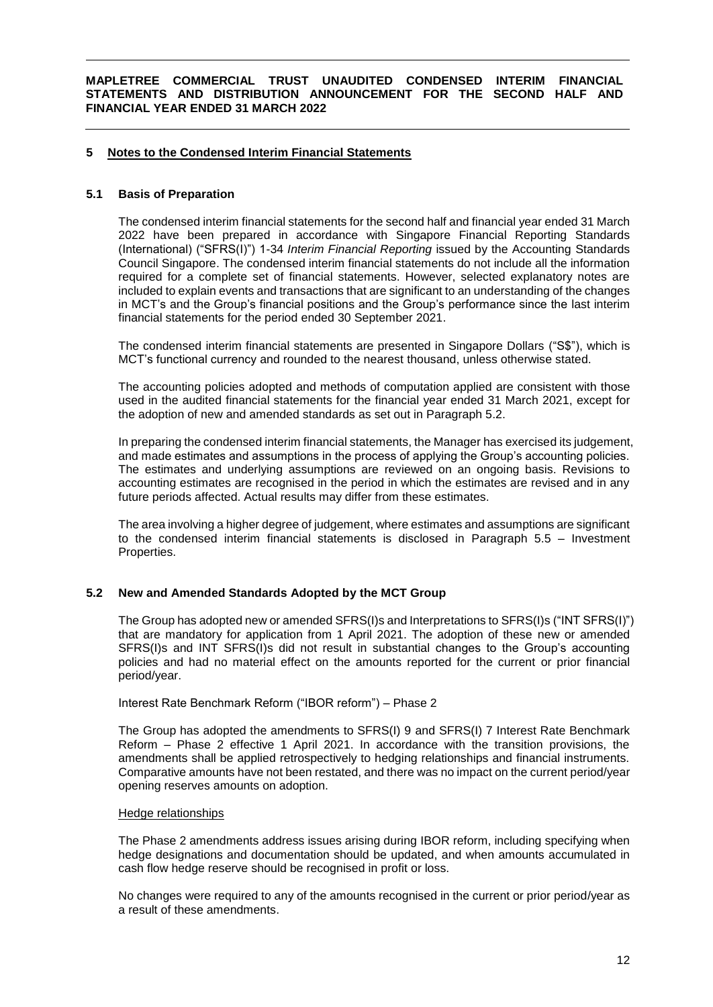### **5 Notes to the Condensed Interim Financial Statements**

#### **5.1 Basis of Preparation**

The condensed interim financial statements for the second half and financial year ended 31 March 2022 have been prepared in accordance with Singapore Financial Reporting Standards (International) ("SFRS(I)") 1-34 *Interim Financial Reporting* issued by the Accounting Standards Council Singapore. The condensed interim financial statements do not include all the information required for a complete set of financial statements. However, selected explanatory notes are included to explain events and transactions that are significant to an understanding of the changes in MCT's and the Group's financial positions and the Group's performance since the last interim financial statements for the period ended 30 September 2021.

The condensed interim financial statements are presented in Singapore Dollars ("S\$"), which is MCT's functional currency and rounded to the nearest thousand, unless otherwise stated.

The accounting policies adopted and methods of computation applied are consistent with those used in the audited financial statements for the financial year ended 31 March 2021, except for the adoption of new and amended standards as set out in Paragraph 5.2.

In preparing the condensed interim financial statements, the Manager has exercised its judgement, and made estimates and assumptions in the process of applying the Group's accounting policies. The estimates and underlying assumptions are reviewed on an ongoing basis. Revisions to accounting estimates are recognised in the period in which the estimates are revised and in any future periods affected. Actual results may differ from these estimates.

The area involving a higher degree of judgement, where estimates and assumptions are significant to the condensed interim financial statements is disclosed in Paragraph 5.5 – Investment Properties.

### **5.2 New and Amended Standards Adopted by the MCT Group**

The Group has adopted new or amended SFRS(I)s and Interpretations to SFRS(I)s ("INT SFRS(I)") that are mandatory for application from 1 April 2021. The adoption of these new or amended SFRS(I)s and INT SFRS(I)s did not result in substantial changes to the Group's accounting policies and had no material effect on the amounts reported for the current or prior financial period/year.

Interest Rate Benchmark Reform ("IBOR reform") – Phase 2

The Group has adopted the amendments to SFRS(I) 9 and SFRS(I) 7 Interest Rate Benchmark Reform – Phase 2 effective 1 April 2021. In accordance with the transition provisions, the amendments shall be applied retrospectively to hedging relationships and financial instruments. Comparative amounts have not been restated, and there was no impact on the current period/year opening reserves amounts on adoption.

#### Hedge relationships

The Phase 2 amendments address issues arising during IBOR reform, including specifying when hedge designations and documentation should be updated, and when amounts accumulated in cash flow hedge reserve should be recognised in profit or loss.

No changes were required to any of the amounts recognised in the current or prior period/year as a result of these amendments.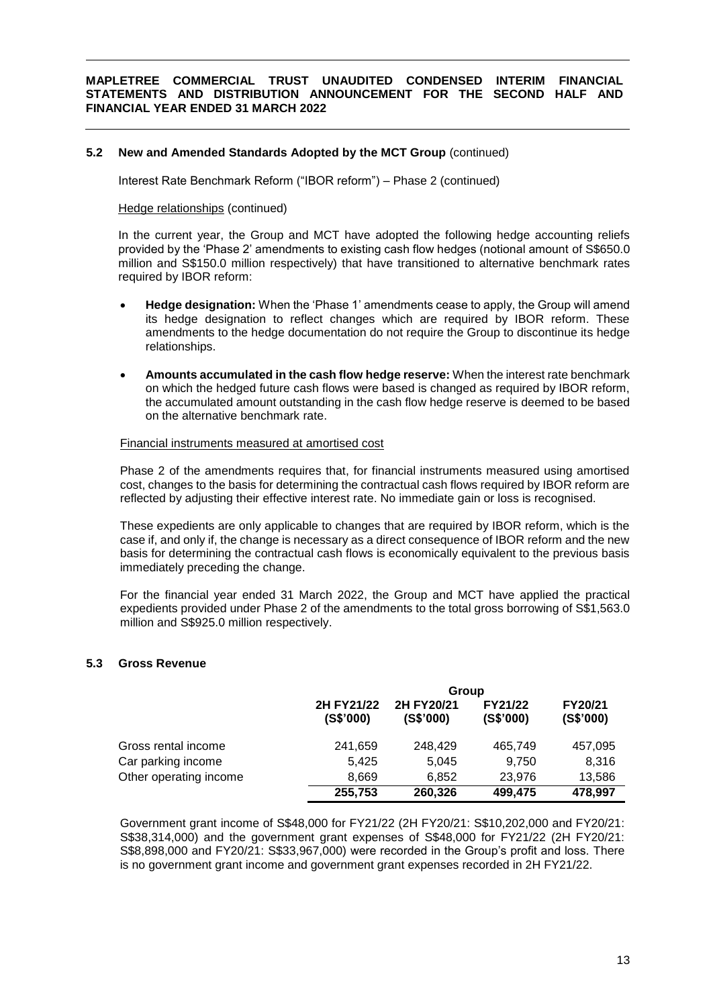### **5.2 New and Amended Standards Adopted by the MCT Group** (continued)

Interest Rate Benchmark Reform ("IBOR reform") – Phase 2 (continued)

#### Hedge relationships (continued)

In the current year, the Group and MCT have adopted the following hedge accounting reliefs provided by the 'Phase 2' amendments to existing cash flow hedges (notional amount of S\$650.0 million and S\$150.0 million respectively) that have transitioned to alternative benchmark rates required by IBOR reform:

- **Hedge designation:** When the 'Phase 1' amendments cease to apply, the Group will amend its hedge designation to reflect changes which are required by IBOR reform. These amendments to the hedge documentation do not require the Group to discontinue its hedge relationships.
- **Amounts accumulated in the cash flow hedge reserve:** When the interest rate benchmark on which the hedged future cash flows were based is changed as required by IBOR reform, the accumulated amount outstanding in the cash flow hedge reserve is deemed to be based on the alternative benchmark rate.

#### Financial instruments measured at amortised cost

Phase 2 of the amendments requires that, for financial instruments measured using amortised cost, changes to the basis for determining the contractual cash flows required by IBOR reform are reflected by adjusting their effective interest rate. No immediate gain or loss is recognised.

These expedients are only applicable to changes that are required by IBOR reform, which is the case if, and only if, the change is necessary as a direct consequence of IBOR reform and the new basis for determining the contractual cash flows is economically equivalent to the previous basis immediately preceding the change.

For the financial year ended 31 March 2022, the Group and MCT have applied the practical expedients provided under Phase 2 of the amendments to the total gross borrowing of S\$1,563.0 million and S\$925.0 million respectively.

### **5.3 Gross Revenue**

|                        | Group                   |                         |                      |                      |
|------------------------|-------------------------|-------------------------|----------------------|----------------------|
|                        | 2H FY21/22<br>(S\$'000) | 2H FY20/21<br>(S\$'000) | FY21/22<br>(S\$'000) | FY20/21<br>(S\$'000) |
| Gross rental income    | 241,659                 | 248.429                 | 465,749              | 457,095              |
| Car parking income     | 5,425                   | 5,045                   | 9,750                | 8,316                |
| Other operating income | 8,669                   | 6,852                   | 23,976               | 13,586               |
|                        | 255,753                 | 260,326                 | 499,475              | 478,997              |

Government grant income of S\$48,000 for FY21/22 (2H FY20/21: S\$10,202,000 and FY20/21: S\$38,314,000) and the government grant expenses of S\$48,000 for FY21/22 (2H FY20/21: S\$8,898,000 and FY20/21: S\$33,967,000) were recorded in the Group's profit and loss. There is no government grant income and government grant expenses recorded in 2H FY21/22.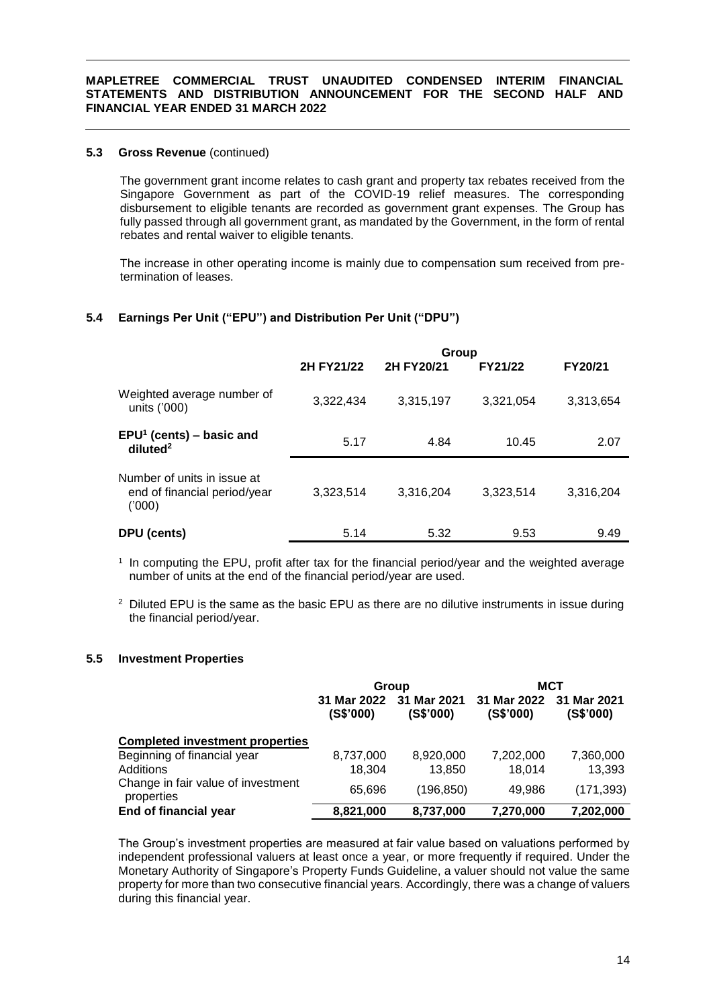## **5.3 Gross Revenue** (continued)

The government grant income relates to cash grant and property tax rebates received from the Singapore Government as part of the COVID-19 relief measures. The corresponding disbursement to eligible tenants are recorded as government grant expenses. The Group has fully passed through all government grant, as mandated by the Government, in the form of rental rebates and rental waiver to eligible tenants.

The increase in other operating income is mainly due to compensation sum received from pretermination of leases.

# **5.4 Earnings Per Unit ("EPU") and Distribution Per Unit ("DPU")**

|                                                                      | Group      |            |           |           |  |
|----------------------------------------------------------------------|------------|------------|-----------|-----------|--|
|                                                                      | 2H FY21/22 | 2H FY20/21 | FY21/22   | FY20/21   |  |
| Weighted average number of<br>units ('000)                           | 3,322,434  | 3,315,197  | 3,321,054 | 3,313,654 |  |
| $EPU1$ (cents) – basic and<br>diluted <sup>2</sup>                   | 5.17       | 4.84       | 10.45     | 2.07      |  |
| Number of units in issue at<br>end of financial period/year<br>(000) | 3,323,514  | 3,316,204  | 3,323,514 | 3,316,204 |  |
| DPU (cents)                                                          | 5.14       | 5.32       | 9.53      | 9.49      |  |

1 In computing the EPU, profit after tax for the financial period/year and the weighted average number of units at the end of the financial period/year are used.

 $2$  Diluted EPU is the same as the basic EPU as there are no dilutive instruments in issue during the financial period/year.

### **5.5 Investment Properties**

|                                                  | Group                    |                          | MCT                      |                          |
|--------------------------------------------------|--------------------------|--------------------------|--------------------------|--------------------------|
|                                                  | 31 Mar 2022<br>(S\$'000) | 31 Mar 2021<br>(S\$'000) | 31 Mar 2022<br>(S\$'000) | 31 Mar 2021<br>(S\$'000) |
| <b>Completed investment properties</b>           |                          |                          |                          |                          |
| Beginning of financial year                      | 8,737,000                | 8,920,000                | 7,202,000                | 7,360,000                |
| Additions                                        | 18.304                   | 13,850                   | 18,014                   | 13,393                   |
| Change in fair value of investment<br>properties | 65,696                   | (196, 850)               | 49,986                   | (171, 393)               |
| End of financial year                            | 8,821,000                | 8,737,000                | 7,270,000                | 7,202,000                |

The Group's investment properties are measured at fair value based on valuations performed by independent professional valuers at least once a year, or more frequently if required. Under the Monetary Authority of Singapore's Property Funds Guideline, a valuer should not value the same property for more than two consecutive financial years. Accordingly, there was a change of valuers during this financial year.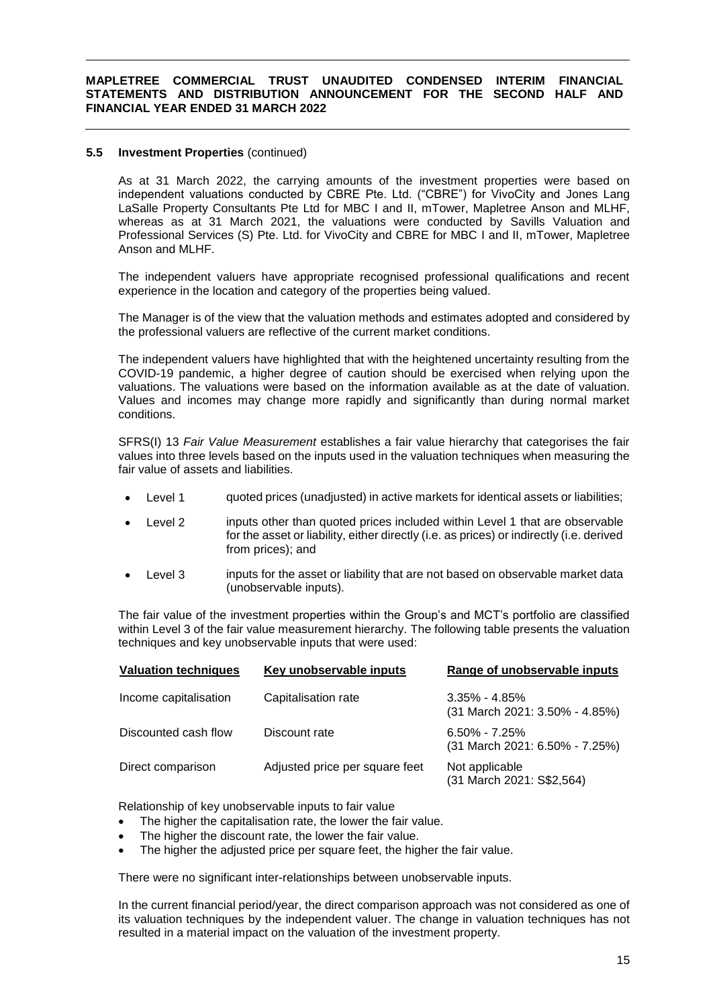### **5.5 Investment Properties** (continued)

As at 31 March 2022, the carrying amounts of the investment properties were based on independent valuations conducted by CBRE Pte. Ltd. ("CBRE") for VivoCity and Jones Lang LaSalle Property Consultants Pte Ltd for MBC I and II, mTower, Mapletree Anson and MLHF, whereas as at 31 March 2021, the valuations were conducted by Savills Valuation and Professional Services (S) Pte. Ltd. for VivoCity and CBRE for MBC I and II, mTower, Mapletree Anson and MLHF.

The independent valuers have appropriate recognised professional qualifications and recent experience in the location and category of the properties being valued.

The Manager is of the view that the valuation methods and estimates adopted and considered by the professional valuers are reflective of the current market conditions.

The independent valuers have highlighted that with the heightened uncertainty resulting from the COVID-19 pandemic, a higher degree of caution should be exercised when relying upon the valuations. The valuations were based on the information available as at the date of valuation. Values and incomes may change more rapidly and significantly than during normal market conditions.

SFRS(I) 13 *Fair Value Measurement* establishes a fair value hierarchy that categorises the fair values into three levels based on the inputs used in the valuation techniques when measuring the fair value of assets and liabilities.

- Level 1 guoted prices (unadjusted) in active markets for identical assets or liabilities;
- Level 2 inputs other than quoted prices included within Level 1 that are observable for the asset or liability, either directly (i.e. as prices) or indirectly (i.e. derived from prices); and
- Level 3 inputs for the asset or liability that are not based on observable market data (unobservable inputs).

The fair value of the investment properties within the Group's and MCT's portfolio are classified within Level 3 of the fair value measurement hierarchy. The following table presents the valuation techniques and key unobservable inputs that were used:

| <b>Valuation techniques</b> | Key unobservable inputs        | Range of unobservable inputs                          |
|-----------------------------|--------------------------------|-------------------------------------------------------|
| Income capitalisation       | Capitalisation rate            | $3.35\%$ - $4.85\%$<br>(31 March 2021: 3.50% - 4.85%) |
| Discounted cash flow        | Discount rate                  | $6.50\% - 7.25\%$<br>(31 March 2021: 6.50% - 7.25%)   |
| Direct comparison           | Adjusted price per square feet | Not applicable<br>(31 March 2021: S\$2,564)           |

Relationship of key unobservable inputs to fair value

- The higher the capitalisation rate, the lower the fair value.
- The higher the discount rate, the lower the fair value.
- The higher the adjusted price per square feet, the higher the fair value.

There were no significant inter-relationships between unobservable inputs.

In the current financial period/year, the direct comparison approach was not considered as one of its valuation techniques by the independent valuer. The change in valuation techniques has not resulted in a material impact on the valuation of the investment property.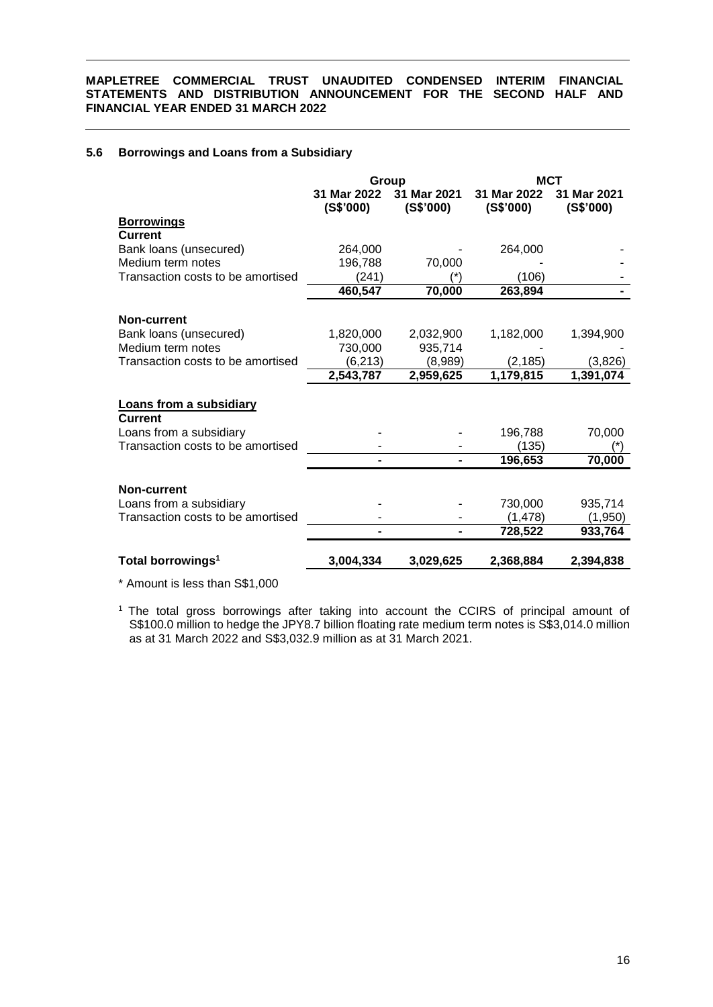## **5.6 Borrowings and Loans from a Subsidiary**

|                                   | Group                    |                          | MCT                      |                          |  |
|-----------------------------------|--------------------------|--------------------------|--------------------------|--------------------------|--|
|                                   | 31 Mar 2022<br>(S\$'000) | 31 Mar 2021<br>(S\$'000) | 31 Mar 2022<br>(S\$'000) | 31 Mar 2021<br>(S\$'000) |  |
| <b>Borrowings</b>                 |                          |                          |                          |                          |  |
| <b>Current</b>                    |                          |                          |                          |                          |  |
| Bank loans (unsecured)            | 264,000                  |                          | 264,000                  |                          |  |
| Medium term notes                 | 196,788                  | 70,000                   |                          |                          |  |
| Transaction costs to be amortised | (241)                    |                          | (106)                    |                          |  |
|                                   | 460,547                  | 70,000                   | 263,894                  |                          |  |
|                                   |                          |                          |                          |                          |  |
| Non-current                       |                          |                          |                          |                          |  |
| Bank loans (unsecured)            | 1,820,000                | 2,032,900                | 1,182,000                | 1,394,900                |  |
| Medium term notes                 | 730,000                  | 935,714                  |                          |                          |  |
| Transaction costs to be amortised | (6, 213)                 | (8,989)                  | (2, 185)                 | (3,826)                  |  |
|                                   | 2,543,787                | 2,959,625                | 1,179,815                | 1,391,074                |  |
|                                   |                          |                          |                          |                          |  |
| <b>Loans from a subsidiary</b>    |                          |                          |                          |                          |  |
| <b>Current</b>                    |                          |                          |                          |                          |  |
| Loans from a subsidiary           |                          |                          | 196,788                  | 70,000                   |  |
| Transaction costs to be amortised |                          |                          | (135)                    |                          |  |
|                                   |                          |                          | 196,653                  | 70,000                   |  |
|                                   |                          |                          |                          |                          |  |
| <b>Non-current</b>                |                          |                          |                          |                          |  |
| Loans from a subsidiary           |                          |                          | 730,000                  | 935,714                  |  |
| Transaction costs to be amortised |                          |                          | (1, 478)                 | (1,950)                  |  |
|                                   |                          |                          | 728,522                  | 933,764                  |  |
| Total borrowings <sup>1</sup>     | 3,004,334                | 3,029,625                | 2,368,884                | 2,394,838                |  |
|                                   |                          |                          |                          |                          |  |

\* Amount is less than S\$1,000

<sup>1</sup> The total gross borrowings after taking into account the CCIRS of principal amount of S\$100.0 million to hedge the JPY8.7 billion floating rate medium term notes is S\$3,014.0 million as at 31 March 2022 and S\$3,032.9 million as at 31 March 2021.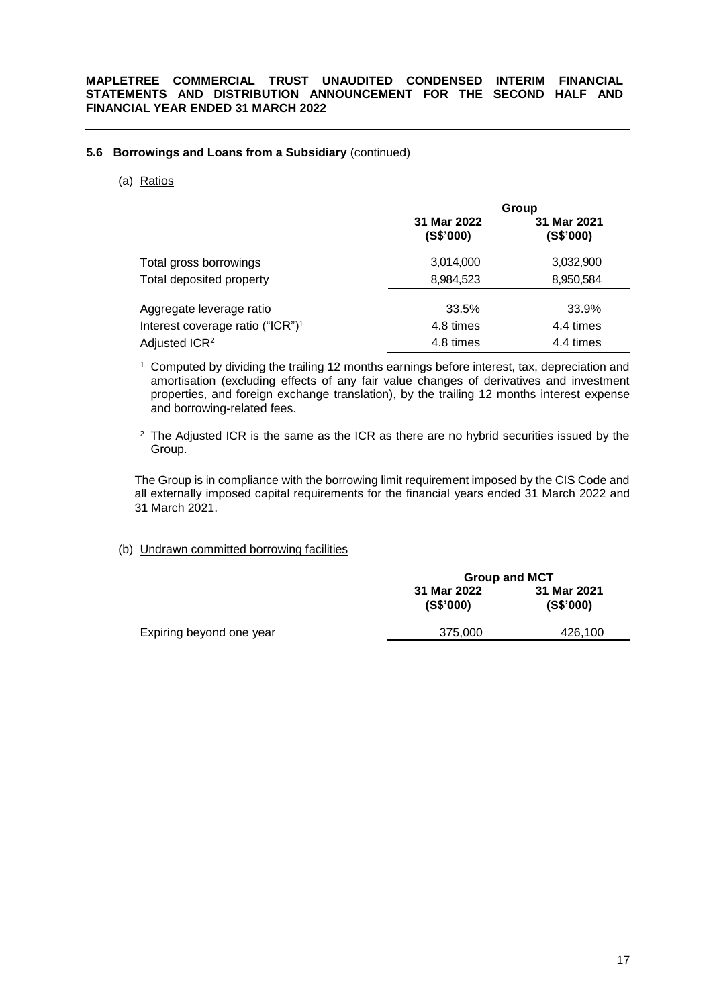### **5.6 Borrowings and Loans from a Subsidiary** (continued)

(a) Ratios

|                                              |                          | Group                    |
|----------------------------------------------|--------------------------|--------------------------|
|                                              | 31 Mar 2022<br>(S\$'000) | 31 Mar 2021<br>(S\$'000) |
| Total gross borrowings                       | 3,014,000                | 3,032,900                |
| Total deposited property                     | 8,984,523                | 8,950,584                |
| Aggregate leverage ratio                     | 33.5%                    | 33.9%                    |
| Interest coverage ratio ("ICR") <sup>1</sup> | 4.8 times                | 4.4 times                |
| Adjusted ICR <sup>2</sup>                    | 4.8 times                | 4.4 times                |

<sup>1</sup> Computed by dividing the trailing 12 months earnings before interest, tax, depreciation and amortisation (excluding effects of any fair value changes of derivatives and investment properties, and foreign exchange translation), by the trailing 12 months interest expense and borrowing-related fees.

 $2$  The Adjusted ICR is the same as the ICR as there are no hybrid securities issued by the Group.

The Group is in compliance with the borrowing limit requirement imposed by the CIS Code and all externally imposed capital requirements for the financial years ended 31 March 2022 and 31 March 2021.

### (b) Undrawn committed borrowing facilities

|                          | <b>Group and MCT</b>     |                          |  |
|--------------------------|--------------------------|--------------------------|--|
|                          | 31 Mar 2022<br>(S\$'000) | 31 Mar 2021<br>(S\$'000) |  |
| Expiring beyond one year | 375.000                  | 426,100                  |  |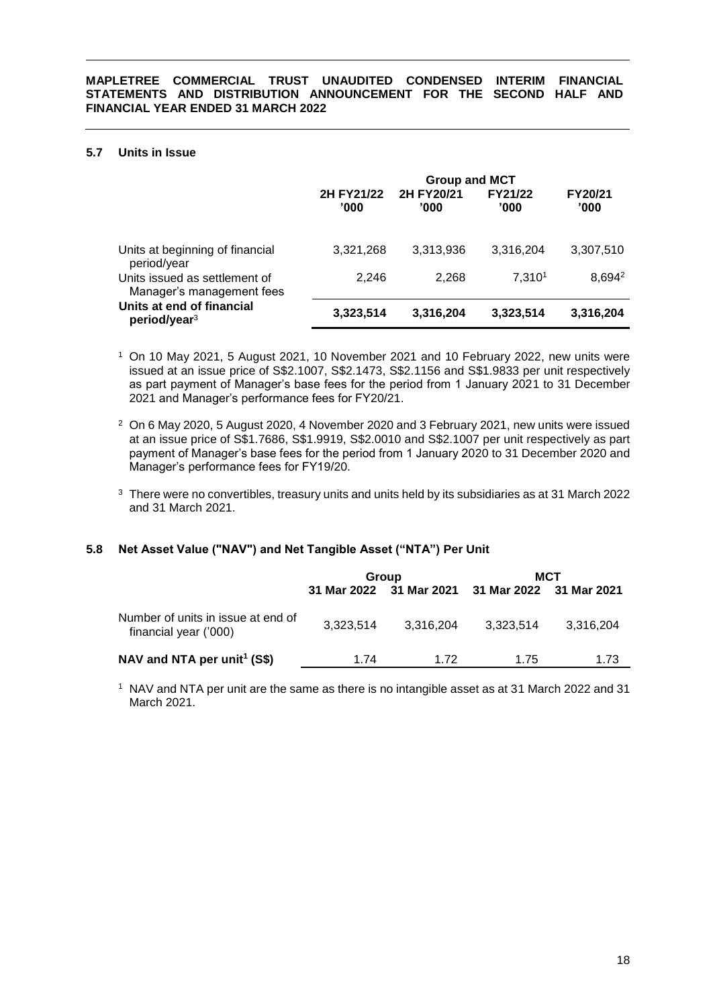### **5.7 Units in Issue**

|                                                            | <b>Group and MCT</b> |                    |                 |                    |  |
|------------------------------------------------------------|----------------------|--------------------|-----------------|--------------------|--|
|                                                            | 2H FY21/22<br>'000   | 2H FY20/21<br>'000 | FY21/22<br>'000 | FY20/21<br>'000    |  |
| Units at beginning of financial<br>period/year             | 3,321,268            | 3,313,936          | 3,316,204       | 3,307,510          |  |
| Units issued as settlement of<br>Manager's management fees | 2,246                | 2,268              | 7.3101          | 8,694 <sup>2</sup> |  |
| Units at end of financial<br>period/year <sup>3</sup>      | 3,323,514            | 3,316,204          | 3,323,514       | 3,316,204          |  |

- <sup>1</sup> On 10 May 2021, 5 August 2021, 10 November 2021 and 10 February 2022, new units were issued at an issue price of S\$2.1007, S\$2.1473, S\$2.1156 and S\$1.9833 per unit respectively as part payment of Manager's base fees for the period from 1 January 2021 to 31 December 2021 and Manager's performance fees for FY20/21.
- <sup>2</sup> On 6 May 2020, 5 August 2020, 4 November 2020 and 3 February 2021, new units were issued at an issue price of S\$1.7686, S\$1.9919, S\$2.0010 and S\$2.1007 per unit respectively as part payment of Manager's base fees for the period from 1 January 2020 to 31 December 2020 and Manager's performance fees for FY19/20.
- <sup>3</sup> There were no convertibles, treasury units and units held by its subsidiaries as at 31 March 2022 and 31 March 2021.

### **5.8 Net Asset Value ("NAV") and Net Tangible Asset ("NTA") Per Unit**

|                                                             | Group     |                         | мст                     |           |  |
|-------------------------------------------------------------|-----------|-------------------------|-------------------------|-----------|--|
|                                                             |           | 31 Mar 2022 31 Mar 2021 | 31 Mar 2022 31 Mar 2021 |           |  |
| Number of units in issue at end of<br>financial year ('000) | 3.323.514 | 3.316.204               | 3.323.514               | 3,316,204 |  |
| NAV and NTA per unit <sup>1</sup> (S\$)                     | 1.74      | 1 72                    | 1.75                    | 1.73      |  |

<sup>1</sup> NAV and NTA per unit are the same as there is no intangible asset as at 31 March 2022 and 31 March 2021.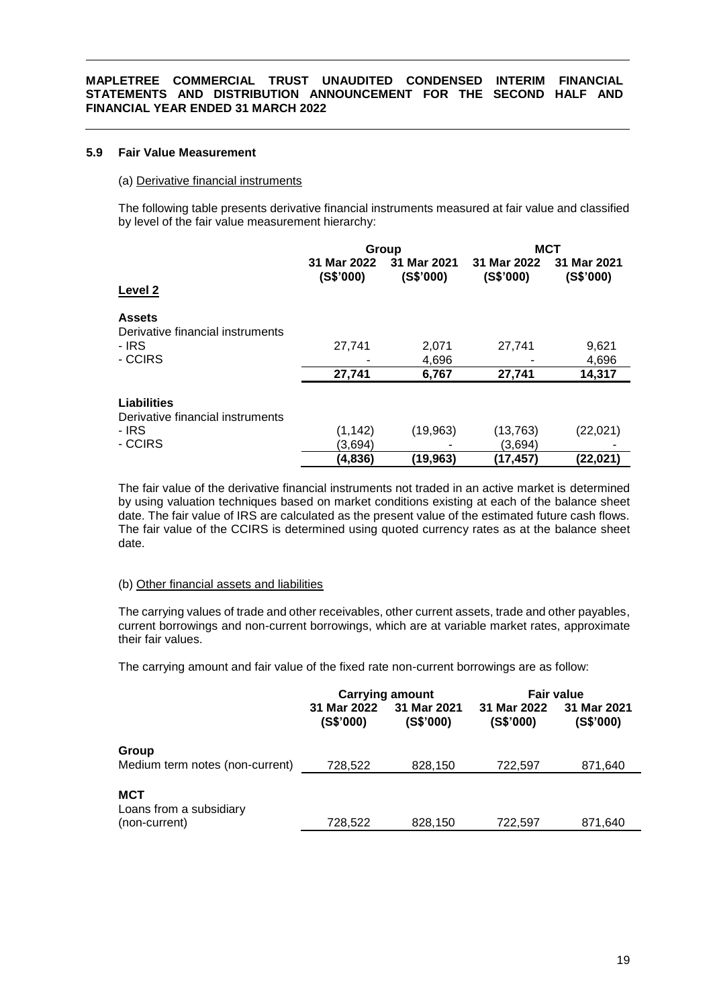### **5.9 Fair Value Measurement**

#### (a) Derivative financial instruments

The following table presents derivative financial instruments measured at fair value and classified by level of the fair value measurement hierarchy:

|                                                                 | Group                    |                          | <b>MCT</b>               |                          |
|-----------------------------------------------------------------|--------------------------|--------------------------|--------------------------|--------------------------|
|                                                                 | 31 Mar 2022<br>(S\$'000) | 31 Mar 2021<br>(S\$'000) | 31 Mar 2022<br>(S\$'000) | 31 Mar 2021<br>(S\$'000) |
| Level 2                                                         |                          |                          |                          |                          |
| <b>Assets</b><br>Derivative financial instruments               |                          |                          |                          |                          |
| - IRS                                                           | 27,741                   | 2,071                    | 27,741                   | 9,621                    |
| - CCIRS                                                         |                          | 4,696                    |                          | 4,696                    |
|                                                                 | 27,741                   | 6,767                    | 27,741                   | 14,317                   |
| <b>Liabilities</b><br>Derivative financial instruments<br>- IRS | (1, 142)                 | (19, 963)                | (13, 763)                | (22, 021)                |
| - CCIRS                                                         | (3,694)                  |                          | (3,694)                  |                          |
|                                                                 | (4,836)                  | (19,963)                 | (17, 457)                | (22,021)                 |

The fair value of the derivative financial instruments not traded in an active market is determined by using valuation techniques based on market conditions existing at each of the balance sheet date. The fair value of IRS are calculated as the present value of the estimated future cash flows. The fair value of the CCIRS is determined using quoted currency rates as at the balance sheet date.

#### (b) Other financial assets and liabilities

The carrying values of trade and other receivables, other current assets, trade and other payables, current borrowings and non-current borrowings, which are at variable market rates, approximate their fair values.

The carrying amount and fair value of the fixed rate non-current borrowings are as follow:

|                                 |                          | <b>Carrying amount</b>   | <b>Fair value</b>        |                          |
|---------------------------------|--------------------------|--------------------------|--------------------------|--------------------------|
|                                 | 31 Mar 2022<br>(S\$'000) | 31 Mar 2021<br>(S\$'000) | 31 Mar 2022<br>(S\$'000) | 31 Mar 2021<br>(S\$'000) |
| Group                           |                          |                          |                          |                          |
| Medium term notes (non-current) | 728,522                  | 828,150                  | 722,597                  | 871,640                  |
| <b>MCT</b>                      |                          |                          |                          |                          |
| Loans from a subsidiary         |                          |                          |                          |                          |
| (non-current)                   | 728.522                  | 828,150                  | 722,597                  | 871.640                  |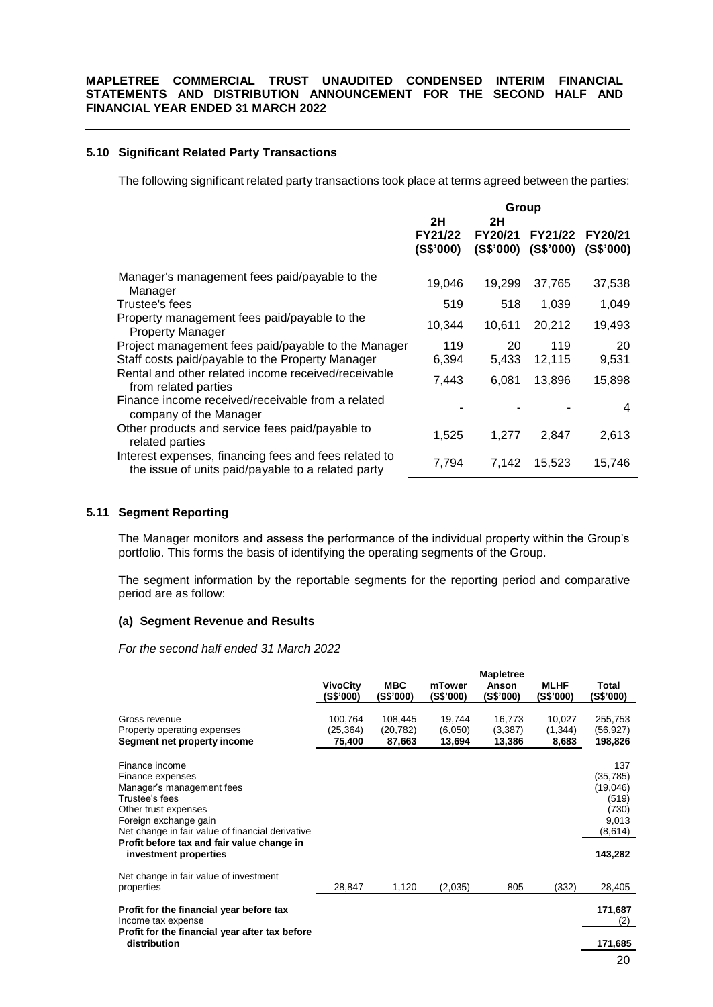### **5.10 Significant Related Party Transactions**

The following significant related party transactions took place at terms agreed between the parties:

|                                                                                                             | Group                |                      |                      |                             |
|-------------------------------------------------------------------------------------------------------------|----------------------|----------------------|----------------------|-----------------------------|
|                                                                                                             | 2H<br>2H             |                      |                      |                             |
|                                                                                                             | FY21/22<br>(S\$'000) | FY20/21<br>(S\$'000) | FY21/22<br>(S\$'000) | <b>FY20/21</b><br>(S\$'000) |
| Manager's management fees paid/payable to the<br>Manager                                                    | 19,046               | 19.299               | 37,765               | 37,538                      |
| Trustee's fees                                                                                              | 519                  | 518                  | 1,039                | 1.049                       |
| Property management fees paid/payable to the<br><b>Property Manager</b>                                     | 10,344               | 10,611               | 20,212               | 19,493                      |
| Project management fees paid/payable to the Manager                                                         | 119                  | 20                   | 119                  | 20                          |
| Staff costs paid/payable to the Property Manager                                                            | 6,394                | 5,433                | 12,115               | 9,531                       |
| Rental and other related income received/receivable<br>from related parties                                 | 7,443                | 6,081                | 13,896               | 15,898                      |
| Finance income received/receivable from a related<br>company of the Manager                                 |                      |                      |                      | 4                           |
| Other products and service fees paid/payable to<br>related parties                                          | 1,525                | 1,277                | 2,847                | 2,613                       |
| Interest expenses, financing fees and fees related to<br>the issue of units paid/payable to a related party | 7,794                | 7,142                | 15,523               | 15,746                      |

### **5.11 Segment Reporting**

The Manager monitors and assess the performance of the individual property within the Group's portfolio. This forms the basis of identifying the operating segments of the Group.

The segment information by the reportable segments for the reporting period and comparative period are as follow:

### **(a) Segment Revenue and Results**

*For the second half ended 31 March 2022*

|                                                                                                                                                                                                                       | <b>VivoCity</b><br>(S\$'000)  | <b>MBC</b><br>(S\$'000) | mTower<br>(S\$'000)         | <b>Mapletree</b><br>Anson<br>(S\$'000) | <b>MLHF</b><br>(S\$'000) | Total<br>(S\$'000)                                                 |
|-----------------------------------------------------------------------------------------------------------------------------------------------------------------------------------------------------------------------|-------------------------------|-------------------------|-----------------------------|----------------------------------------|--------------------------|--------------------------------------------------------------------|
| Gross revenue<br>Property operating expenses                                                                                                                                                                          | 100,764<br>(25,364)<br>75,400 | 108,445<br>(20, 782)    | 19,744<br>(6,050)<br>13,694 | 16,773<br>(3,387)<br>13,386            | 10,027<br>(1, 344)       | 255,753<br>(56,927)<br>198,826                                     |
| Segment net property income<br>Finance income<br>Finance expenses<br>Manager's management fees<br>Trustee's fees<br>Other trust expenses<br>Foreign exchange gain<br>Net change in fair value of financial derivative |                               | 87,663                  |                             |                                        | 8,683                    | 137<br>(35, 785)<br>(19,046)<br>(519)<br>(730)<br>9,013<br>(8,614) |
| Profit before tax and fair value change in<br>investment properties                                                                                                                                                   |                               |                         |                             |                                        |                          | 143,282                                                            |
| Net change in fair value of investment<br>properties                                                                                                                                                                  | 28,847                        | 1,120                   | (2,035)                     | 805                                    | (332)                    | 28,405                                                             |
| Profit for the financial year before tax<br>Income tax expense                                                                                                                                                        |                               |                         |                             |                                        |                          | 171,687<br>(2)                                                     |
| Profit for the financial year after tax before<br>distribution                                                                                                                                                        |                               |                         |                             |                                        |                          | 171,685                                                            |
|                                                                                                                                                                                                                       |                               |                         |                             |                                        |                          | 20                                                                 |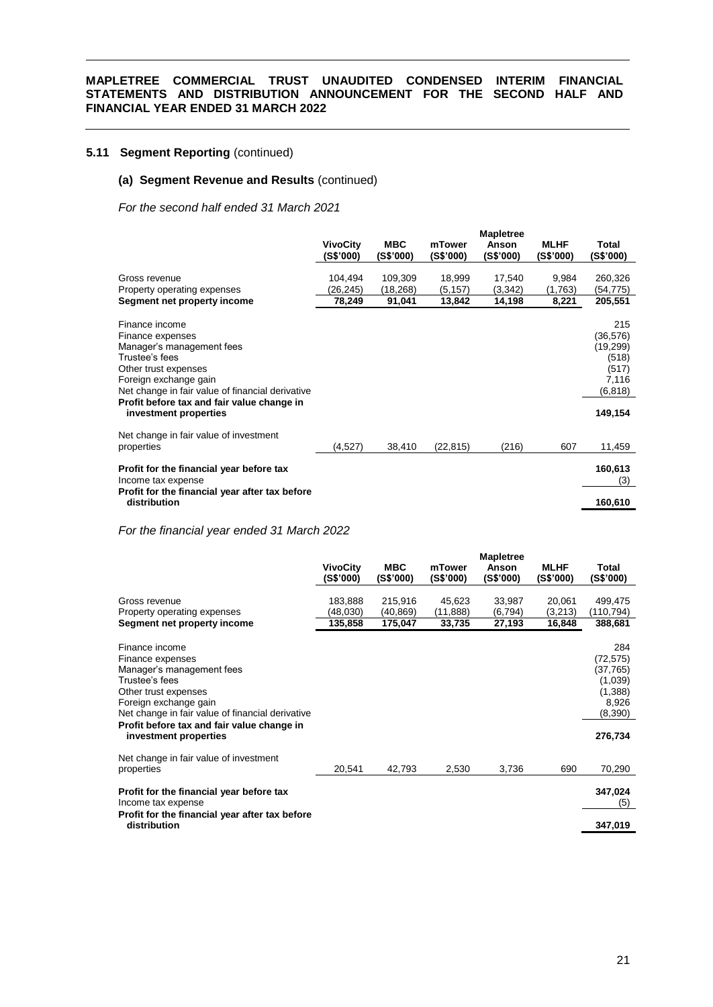# **5.11 Segment Reporting** (continued)

### **(a) Segment Revenue and Results** (continued)

*For the second half ended 31 March 2021*

|                                                                                                                                                                                                                                                               |                              |                         |                     | <b>Mapletree</b>   |                          |                                                                                |
|---------------------------------------------------------------------------------------------------------------------------------------------------------------------------------------------------------------------------------------------------------------|------------------------------|-------------------------|---------------------|--------------------|--------------------------|--------------------------------------------------------------------------------|
|                                                                                                                                                                                                                                                               | <b>VivoCity</b><br>(S\$'000) | <b>MBC</b><br>(S\$'000) | mTower<br>(S\$'000) | Anson<br>(S\$'000) | <b>MLHF</b><br>(S\$'000) | Total<br>(S\$'000)                                                             |
| Gross revenue                                                                                                                                                                                                                                                 | 104,494                      | 109,309                 | 18,999              | 17,540             | 9,984                    | 260,326                                                                        |
| Property operating expenses<br>Segment net property income                                                                                                                                                                                                    | (26,245)<br>78,249           | (18,268)<br>91,041      | (5, 157)<br>13,842  | (3,342)<br>14,198  | (1,763)<br>8,221         | (54,775)<br>205,551                                                            |
| Finance income<br>Finance expenses<br>Manager's management fees<br>Trustee's fees<br>Other trust expenses<br>Foreign exchange gain<br>Net change in fair value of financial derivative<br>Profit before tax and fair value change in<br>investment properties |                              |                         |                     |                    |                          | 215<br>(36,576)<br>(19, 299)<br>(518)<br>(517)<br>7,116<br>(6, 818)<br>149,154 |
| Net change in fair value of investment<br>properties                                                                                                                                                                                                          | (4,527)                      | 38,410                  | (22, 815)           | (216)              | 607                      | 11,459                                                                         |
| Profit for the financial year before tax<br>Income tax expense                                                                                                                                                                                                |                              |                         |                     |                    |                          | 160,613<br>(3)                                                                 |
| Profit for the financial year after tax before<br>distribution                                                                                                                                                                                                |                              |                         |                     |                    |                          | 160,610                                                                        |

*For the financial year ended 31 March 2022*

|                                                                                                                                                                                                                                                               |                              |                         |                     | <b>Mapletree</b>   |                          |                                                                                   |
|---------------------------------------------------------------------------------------------------------------------------------------------------------------------------------------------------------------------------------------------------------------|------------------------------|-------------------------|---------------------|--------------------|--------------------------|-----------------------------------------------------------------------------------|
|                                                                                                                                                                                                                                                               | <b>VivoCity</b><br>(S\$'000) | <b>MBC</b><br>(S\$'000) | mTower<br>(S\$'000) | Anson<br>(S\$'000) | <b>MLHF</b><br>(S\$'000) | Total<br>(S\$'000)                                                                |
| Gross revenue                                                                                                                                                                                                                                                 | 183,888                      | 215,916                 | 45,623              | 33,987             | 20,061                   | 499,475                                                                           |
| Property operating expenses<br>Segment net property income                                                                                                                                                                                                    | (48,030)<br>135,858          | (40, 869)<br>175,047    | (11,888)<br>33,735  | (6,794)<br>27,193  | (3,213)<br>16,848        | (110,794)<br>388,681                                                              |
|                                                                                                                                                                                                                                                               |                              |                         |                     |                    |                          |                                                                                   |
| Finance income<br>Finance expenses<br>Manager's management fees<br>Trustee's fees<br>Other trust expenses<br>Foreign exchange gain<br>Net change in fair value of financial derivative<br>Profit before tax and fair value change in<br>investment properties |                              |                         |                     |                    |                          | 284<br>(72, 575)<br>(37,765)<br>(1,039)<br>(1,388)<br>8,926<br>(8,390)<br>276,734 |
| Net change in fair value of investment<br>properties                                                                                                                                                                                                          | 20,541                       | 42,793                  | 2,530               | 3,736              | 690                      | 70,290                                                                            |
| Profit for the financial year before tax<br>Income tax expense                                                                                                                                                                                                |                              |                         |                     |                    |                          | 347,024<br>(5)                                                                    |
| Profit for the financial year after tax before<br>distribution                                                                                                                                                                                                |                              |                         |                     |                    |                          | 347,019                                                                           |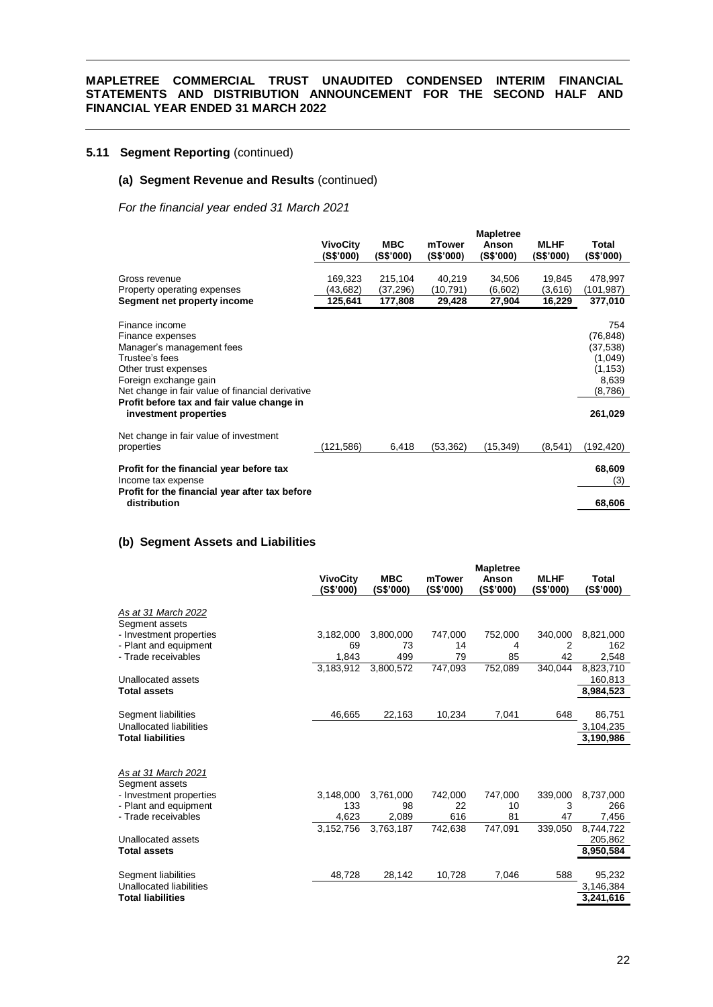# **5.11 Segment Reporting** (continued)

### **(a) Segment Revenue and Results** (continued)

*For the financial year ended 31 March 2021*

|                                                                                                                                                                                                                                                               | <b>VivoCity</b><br>(S\$'000)   | <b>MBC</b><br>(S\$'000)        | mTower<br>(S\$'000)          | <b>Mapletree</b><br>Anson<br>(S\$'000) | <b>MLHF</b><br>(S\$'000)    | Total<br>(S\$'000)                                                                  |
|---------------------------------------------------------------------------------------------------------------------------------------------------------------------------------------------------------------------------------------------------------------|--------------------------------|--------------------------------|------------------------------|----------------------------------------|-----------------------------|-------------------------------------------------------------------------------------|
| Gross revenue<br>Property operating expenses<br>Segment net property income                                                                                                                                                                                   | 169,323<br>(43,682)<br>125,641 | 215,104<br>(37,296)<br>177,808 | 40,219<br>(10,791)<br>29,428 | 34,506<br>(6,602)<br>27,904            | 19,845<br>(3,616)<br>16,229 | 478,997<br>(101,987)<br>377,010                                                     |
| Finance income<br>Finance expenses<br>Manager's management fees<br>Trustee's fees<br>Other trust expenses<br>Foreign exchange gain<br>Net change in fair value of financial derivative<br>Profit before tax and fair value change in<br>investment properties |                                |                                |                              |                                        |                             | 754<br>(76, 848)<br>(37, 538)<br>(1,049)<br>(1, 153)<br>8,639<br>(8,786)<br>261,029 |
| Net change in fair value of investment<br>properties                                                                                                                                                                                                          | (121, 586)                     | 6,418                          | (53, 362)                    | (15, 349)                              | (8, 541)                    | (192, 420)                                                                          |
| Profit for the financial year before tax<br>Income tax expense                                                                                                                                                                                                |                                |                                |                              |                                        |                             | 68,609<br>(3)                                                                       |
| Profit for the financial year after tax before<br>distribution                                                                                                                                                                                                |                                |                                |                              |                                        |                             | 68,606                                                                              |

### **(b) Segment Assets and Liabilities**

|                                       |                              |                         |                     | <b>Mapletree</b>   |                          |                    |
|---------------------------------------|------------------------------|-------------------------|---------------------|--------------------|--------------------------|--------------------|
|                                       | <b>VivoCity</b><br>(S\$'000) | <b>MBC</b><br>(S\$'000) | mTower<br>(S\$'000) | Anson<br>(S\$'000) | <b>MLHF</b><br>(S\$'000) | Total<br>(S\$'000) |
| As at 31 March 2022<br>Segment assets |                              |                         |                     |                    |                          |                    |
| - Investment properties               | 3,182,000                    | 3,800,000               | 747,000             | 752,000            | 340,000                  | 8,821,000          |
| - Plant and equipment                 | 69                           | 73                      | 14                  | 4                  | 2                        | 162                |
| - Trade receivables                   | 1,843                        | 499                     | 79                  | 85                 | 42                       | 2,548              |
|                                       | 3,183,912                    | 3,800,572               | 747,093             | 752,089            | 340,044                  | 8,823,710          |
| Unallocated assets                    |                              |                         |                     |                    |                          | 160,813            |
| <b>Total assets</b>                   |                              |                         |                     |                    |                          | 8,984,523          |
|                                       |                              |                         |                     |                    |                          |                    |
| Segment liabilities                   | 46,665                       | 22,163                  | 10,234              | 7,041              | 648                      | 86,751             |
| Unallocated liabilities               |                              |                         |                     |                    |                          | 3,104,235          |
| <b>Total liabilities</b>              |                              |                         |                     |                    |                          | 3,190,986          |
|                                       |                              |                         |                     |                    |                          |                    |
| As at 31 March 2021                   |                              |                         |                     |                    |                          |                    |
| Segment assets                        |                              |                         |                     |                    |                          |                    |
| - Investment properties               | 3,148,000                    | 3,761,000               | 742,000             | 747,000            | 339,000                  | 8,737,000          |
| - Plant and equipment                 | 133                          | 98                      | 22                  | 10                 | 3                        | 266                |
| - Trade receivables                   | 4,623                        | 2,089                   | 616                 | 81                 | 47                       | 7,456              |
|                                       | 3,152,756                    | 3,763,187               | 742,638             | 747,091            | 339,050                  | 8,744,722          |
| Unallocated assets                    |                              |                         |                     |                    |                          | 205,862            |
| <b>Total assets</b>                   |                              |                         |                     |                    |                          | 8,950,584          |
| Segment liabilities                   | 48,728                       | 28,142                  | 10,728              | 7,046              | 588                      | 95,232             |
| Unallocated liabilities               |                              |                         |                     |                    |                          | 3,146,384          |
| <b>Total liabilities</b>              |                              |                         |                     |                    |                          | 3,241,616          |
|                                       |                              |                         |                     |                    |                          |                    |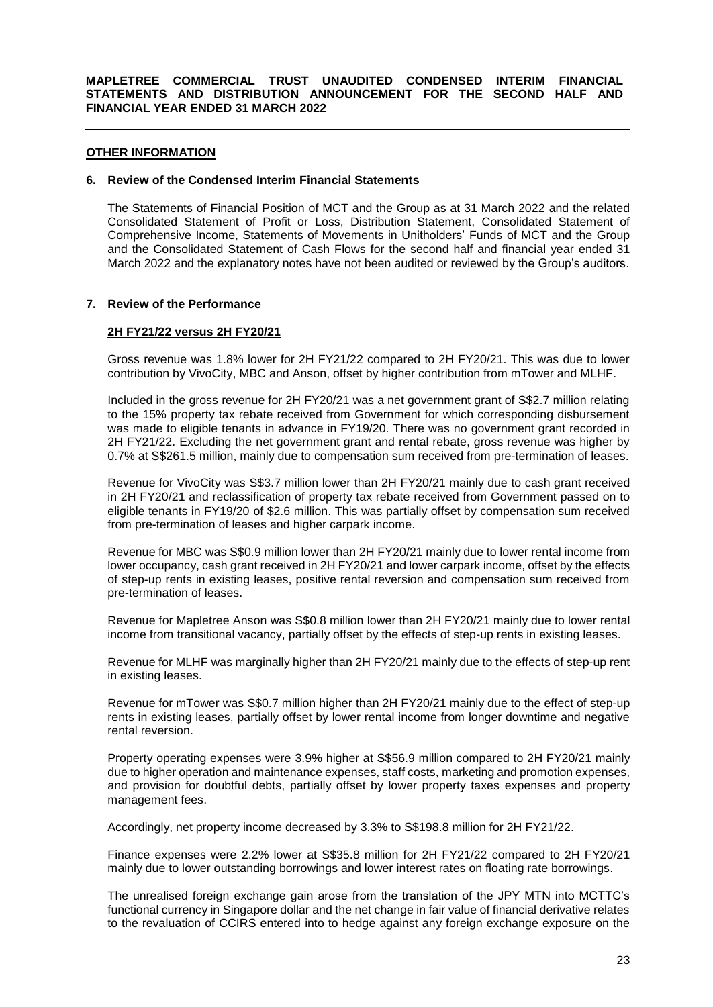### **OTHER INFORMATION**

#### **6. Review of the Condensed Interim Financial Statements**

The Statements of Financial Position of MCT and the Group as at 31 March 2022 and the related Consolidated Statement of Profit or Loss, Distribution Statement, Consolidated Statement of Comprehensive Income, Statements of Movements in Unitholders' Funds of MCT and the Group and the Consolidated Statement of Cash Flows for the second half and financial year ended 31 March 2022 and the explanatory notes have not been audited or reviewed by the Group's auditors.

#### **7. Review of the Performance**

#### **2H FY21/22 versus 2H FY20/21**

Gross revenue was 1.8% lower for 2H FY21/22 compared to 2H FY20/21. This was due to lower contribution by VivoCity, MBC and Anson, offset by higher contribution from mTower and MLHF.

Included in the gross revenue for 2H FY20/21 was a net government grant of S\$2.7 million relating to the 15% property tax rebate received from Government for which corresponding disbursement was made to eligible tenants in advance in FY19/20. There was no government grant recorded in 2H FY21/22. Excluding the net government grant and rental rebate, gross revenue was higher by 0.7% at S\$261.5 million, mainly due to compensation sum received from pre-termination of leases.

Revenue for VivoCity was S\$3.7 million lower than 2H FY20/21 mainly due to cash grant received in 2H FY20/21 and reclassification of property tax rebate received from Government passed on to eligible tenants in FY19/20 of \$2.6 million. This was partially offset by compensation sum received from pre-termination of leases and higher carpark income.

Revenue for MBC was S\$0.9 million lower than 2H FY20/21 mainly due to lower rental income from lower occupancy, cash grant received in 2H FY20/21 and lower carpark income, offset by the effects of step-up rents in existing leases, positive rental reversion and compensation sum received from pre-termination of leases.

Revenue for Mapletree Anson was S\$0.8 million lower than 2H FY20/21 mainly due to lower rental income from transitional vacancy, partially offset by the effects of step-up rents in existing leases.

Revenue for MLHF was marginally higher than 2H FY20/21 mainly due to the effects of step-up rent in existing leases.

Revenue for mTower was S\$0.7 million higher than 2H FY20/21 mainly due to the effect of step-up rents in existing leases, partially offset by lower rental income from longer downtime and negative rental reversion.

Property operating expenses were 3.9% higher at S\$56.9 million compared to 2H FY20/21 mainly due to higher operation and maintenance expenses, staff costs, marketing and promotion expenses, and provision for doubtful debts, partially offset by lower property taxes expenses and property management fees.

Accordingly, net property income decreased by 3.3% to S\$198.8 million for 2H FY21/22.

Finance expenses were 2.2% lower at S\$35.8 million for 2H FY21/22 compared to 2H FY20/21 mainly due to lower outstanding borrowings and lower interest rates on floating rate borrowings.

The unrealised foreign exchange gain arose from the translation of the JPY MTN into MCTTC's functional currency in Singapore dollar and the net change in fair value of financial derivative relates to the revaluation of CCIRS entered into to hedge against any foreign exchange exposure on the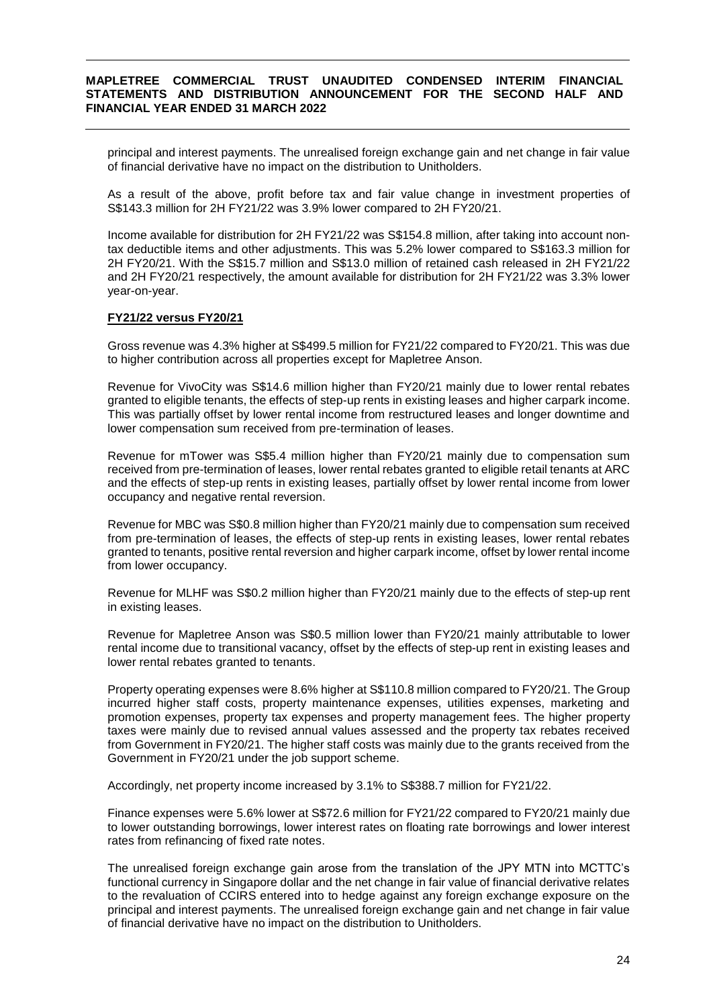principal and interest payments. The unrealised foreign exchange gain and net change in fair value of financial derivative have no impact on the distribution to Unitholders.

As a result of the above, profit before tax and fair value change in investment properties of S\$143.3 million for 2H FY21/22 was 3.9% lower compared to 2H FY20/21.

Income available for distribution for 2H FY21/22 was S\$154.8 million, after taking into account nontax deductible items and other adjustments. This was 5.2% lower compared to S\$163.3 million for 2H FY20/21. With the S\$15.7 million and S\$13.0 million of retained cash released in 2H FY21/22 and 2H FY20/21 respectively, the amount available for distribution for 2H FY21/22 was 3.3% lower year-on-year.

### **FY21/22 versus FY20/21**

Gross revenue was 4.3% higher at S\$499.5 million for FY21/22 compared to FY20/21. This was due to higher contribution across all properties except for Mapletree Anson.

Revenue for VivoCity was S\$14.6 million higher than FY20/21 mainly due to lower rental rebates granted to eligible tenants, the effects of step-up rents in existing leases and higher carpark income. This was partially offset by lower rental income from restructured leases and longer downtime and lower compensation sum received from pre-termination of leases.

Revenue for mTower was S\$5.4 million higher than FY20/21 mainly due to compensation sum received from pre-termination of leases, lower rental rebates granted to eligible retail tenants at ARC and the effects of step-up rents in existing leases, partially offset by lower rental income from lower occupancy and negative rental reversion.

Revenue for MBC was S\$0.8 million higher than FY20/21 mainly due to compensation sum received from pre-termination of leases, the effects of step-up rents in existing leases, lower rental rebates granted to tenants, positive rental reversion and higher carpark income, offset by lower rental income from lower occupancy.

Revenue for MLHF was S\$0.2 million higher than FY20/21 mainly due to the effects of step-up rent in existing leases.

Revenue for Mapletree Anson was S\$0.5 million lower than FY20/21 mainly attributable to lower rental income due to transitional vacancy, offset by the effects of step-up rent in existing leases and lower rental rebates granted to tenants.

Property operating expenses were 8.6% higher at S\$110.8 million compared to FY20/21. The Group incurred higher staff costs, property maintenance expenses, utilities expenses, marketing and promotion expenses, property tax expenses and property management fees. The higher property taxes were mainly due to revised annual values assessed and the property tax rebates received from Government in FY20/21. The higher staff costs was mainly due to the grants received from the Government in FY20/21 under the job support scheme.

Accordingly, net property income increased by 3.1% to S\$388.7 million for FY21/22.

Finance expenses were 5.6% lower at S\$72.6 million for FY21/22 compared to FY20/21 mainly due to lower outstanding borrowings, lower interest rates on floating rate borrowings and lower interest rates from refinancing of fixed rate notes.

The unrealised foreign exchange gain arose from the translation of the JPY MTN into MCTTC's functional currency in Singapore dollar and the net change in fair value of financial derivative relates to the revaluation of CCIRS entered into to hedge against any foreign exchange exposure on the principal and interest payments. The unrealised foreign exchange gain and net change in fair value of financial derivative have no impact on the distribution to Unitholders.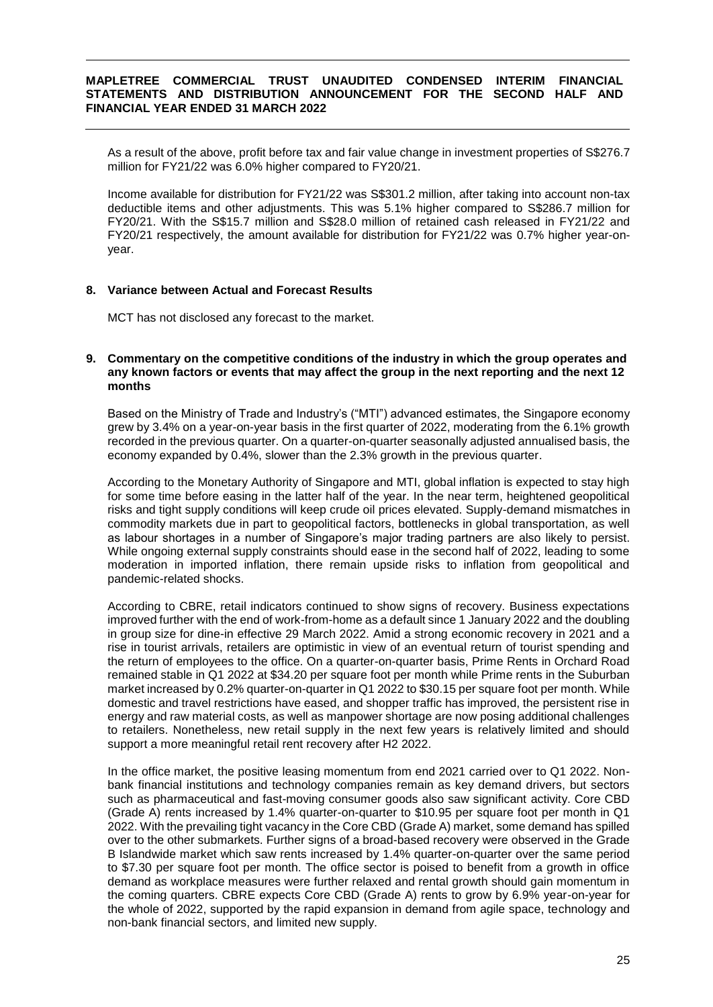As a result of the above, profit before tax and fair value change in investment properties of S\$276.7 million for FY21/22 was 6.0% higher compared to FY20/21.

Income available for distribution for FY21/22 was S\$301.2 million, after taking into account non-tax deductible items and other adjustments. This was 5.1% higher compared to S\$286.7 million for FY20/21. With the S\$15.7 million and S\$28.0 million of retained cash released in FY21/22 and FY20/21 respectively, the amount available for distribution for FY21/22 was 0.7% higher year-onyear.

### **8. Variance between Actual and Forecast Results**

MCT has not disclosed any forecast to the market.

### **9. Commentary on the competitive conditions of the industry in which the group operates and any known factors or events that may affect the group in the next reporting and the next 12 months**

Based on the Ministry of Trade and Industry's ("MTI") advanced estimates, the Singapore economy grew by 3.4% on a year-on-year basis in the first quarter of 2022, moderating from the 6.1% growth recorded in the previous quarter. On a quarter-on-quarter seasonally adjusted annualised basis, the economy expanded by 0.4%, slower than the 2.3% growth in the previous quarter.

According to the Monetary Authority of Singapore and MTI, global inflation is expected to stay high for some time before easing in the latter half of the year. In the near term, heightened geopolitical risks and tight supply conditions will keep crude oil prices elevated. Supply-demand mismatches in commodity markets due in part to geopolitical factors, bottlenecks in global transportation, as well as labour shortages in a number of Singapore's major trading partners are also likely to persist. While ongoing external supply constraints should ease in the second half of 2022, leading to some moderation in imported inflation, there remain upside risks to inflation from geopolitical and pandemic-related shocks.

According to CBRE, retail indicators continued to show signs of recovery. Business expectations improved further with the end of work-from-home as a default since 1 January 2022 and the doubling in group size for dine-in effective 29 March 2022. Amid a strong economic recovery in 2021 and a rise in tourist arrivals, retailers are optimistic in view of an eventual return of tourist spending and the return of employees to the office. On a quarter-on-quarter basis, Prime Rents in Orchard Road remained stable in Q1 2022 at \$34.20 per square foot per month while Prime rents in the Suburban market increased by 0.2% quarter-on-quarter in Q1 2022 to \$30.15 per square foot per month. While domestic and travel restrictions have eased, and shopper traffic has improved, the persistent rise in energy and raw material costs, as well as manpower shortage are now posing additional challenges to retailers. Nonetheless, new retail supply in the next few years is relatively limited and should support a more meaningful retail rent recovery after H2 2022.

In the office market, the positive leasing momentum from end 2021 carried over to Q1 2022. Nonbank financial institutions and technology companies remain as key demand drivers, but sectors such as pharmaceutical and fast-moving consumer goods also saw significant activity. Core CBD (Grade A) rents increased by 1.4% quarter-on-quarter to \$10.95 per square foot per month in Q1 2022. With the prevailing tight vacancy in the Core CBD (Grade A) market, some demand has spilled over to the other submarkets. Further signs of a broad-based recovery were observed in the Grade B Islandwide market which saw rents increased by 1.4% quarter-on-quarter over the same period to \$7.30 per square foot per month. The office sector is poised to benefit from a growth in office demand as workplace measures were further relaxed and rental growth should gain momentum in the coming quarters. CBRE expects Core CBD (Grade A) rents to grow by 6.9% year-on-year for the whole of 2022, supported by the rapid expansion in demand from agile space, technology and non-bank financial sectors, and limited new supply.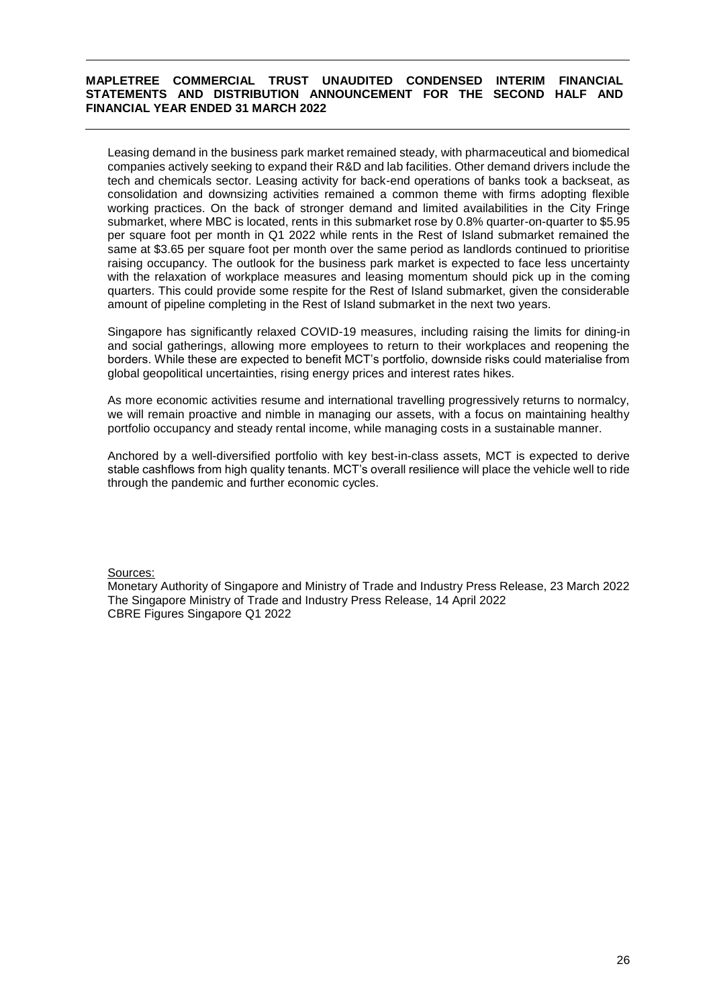Leasing demand in the business park market remained steady, with pharmaceutical and biomedical companies actively seeking to expand their R&D and lab facilities. Other demand drivers include the tech and chemicals sector. Leasing activity for back-end operations of banks took a backseat, as consolidation and downsizing activities remained a common theme with firms adopting flexible working practices. On the back of stronger demand and limited availabilities in the City Fringe submarket, where MBC is located, rents in this submarket rose by 0.8% quarter-on-quarter to \$5.95 per square foot per month in Q1 2022 while rents in the Rest of Island submarket remained the same at \$3.65 per square foot per month over the same period as landlords continued to prioritise raising occupancy. The outlook for the business park market is expected to face less uncertainty with the relaxation of workplace measures and leasing momentum should pick up in the coming quarters. This could provide some respite for the Rest of Island submarket, given the considerable amount of pipeline completing in the Rest of Island submarket in the next two years.

Singapore has significantly relaxed COVID-19 measures, including raising the limits for dining-in and social gatherings, allowing more employees to return to their workplaces and reopening the borders. While these are expected to benefit MCT's portfolio, downside risks could materialise from global geopolitical uncertainties, rising energy prices and interest rates hikes.

As more economic activities resume and international travelling progressively returns to normalcy, we will remain proactive and nimble in managing our assets, with a focus on maintaining healthy portfolio occupancy and steady rental income, while managing costs in a sustainable manner.

Anchored by a well-diversified portfolio with key best-in-class assets, MCT is expected to derive stable cashflows from high quality tenants. MCT's overall resilience will place the vehicle well to ride through the pandemic and further economic cycles.

### Sources:

Monetary Authority of Singapore and Ministry of Trade and Industry Press Release, 23 March 2022 The Singapore Ministry of Trade and Industry Press Release, 14 April 2022 CBRE Figures Singapore Q1 2022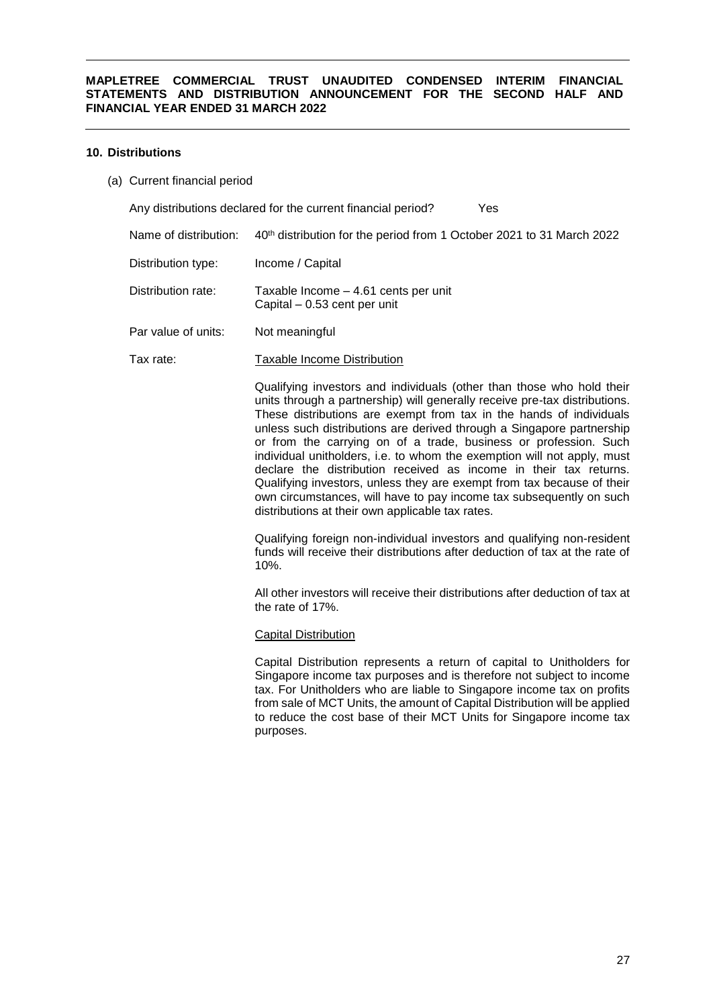### **10. Distributions**

(a) Current financial period

Any distributions declared for the current financial period? Yes

- Name of distribution: 40<sup>th</sup> distribution for the period from 1 October 2021 to 31 March 2022
- Distribution type: Income / Capital
- Distribution rate: Taxable Income 4.61 cents per unit Capital – 0.53 cent per unit
- Par value of units: Not meaningful
- Tax rate: Taxable Income Distribution

Qualifying investors and individuals (other than those who hold their units through a partnership) will generally receive pre-tax distributions. These distributions are exempt from tax in the hands of individuals unless such distributions are derived through a Singapore partnership or from the carrying on of a trade, business or profession. Such individual unitholders, i.e. to whom the exemption will not apply, must declare the distribution received as income in their tax returns. Qualifying investors, unless they are exempt from tax because of their own circumstances, will have to pay income tax subsequently on such distributions at their own applicable tax rates.

Qualifying foreign non-individual investors and qualifying non-resident funds will receive their distributions after deduction of tax at the rate of 10%.

All other investors will receive their distributions after deduction of tax at the rate of 17%.

#### Capital Distribution

Capital Distribution represents a return of capital to Unitholders for Singapore income tax purposes and is therefore not subject to income tax. For Unitholders who are liable to Singapore income tax on profits from sale of MCT Units, the amount of Capital Distribution will be applied to reduce the cost base of their MCT Units for Singapore income tax purposes.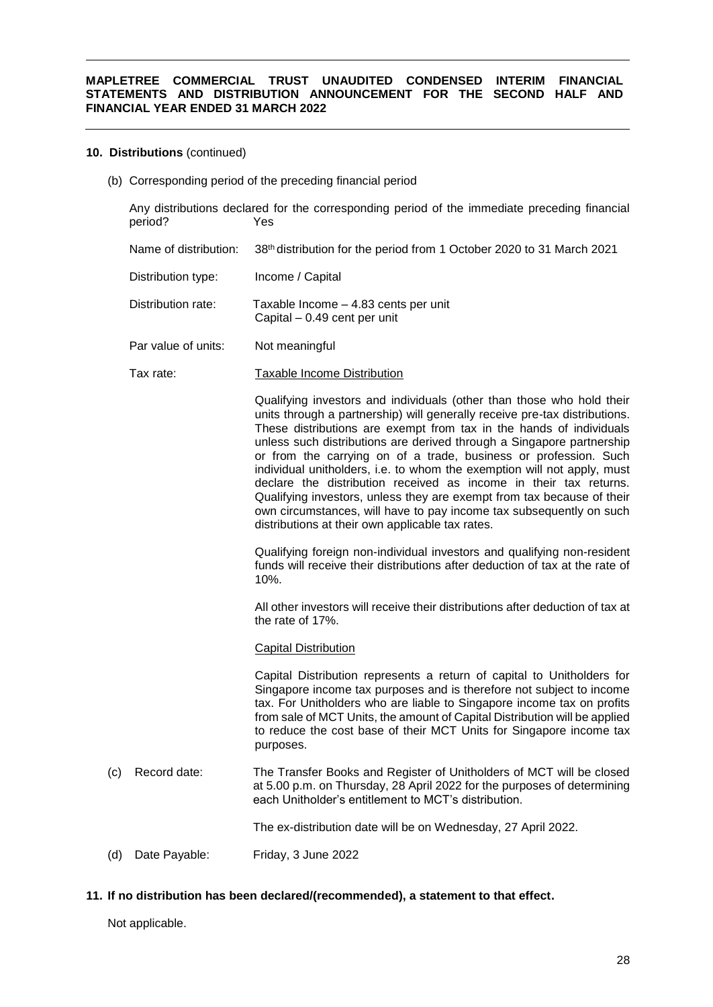# **10. Distributions** (continued)

(b) Corresponding period of the preceding financial period

|     | period?               | Any distributions declared for the corresponding period of the immediate preceding financial<br>Yes                                                                                                                                                                                                                                                                                                                                                                                                                                                                                                                                                                                                                          |
|-----|-----------------------|------------------------------------------------------------------------------------------------------------------------------------------------------------------------------------------------------------------------------------------------------------------------------------------------------------------------------------------------------------------------------------------------------------------------------------------------------------------------------------------------------------------------------------------------------------------------------------------------------------------------------------------------------------------------------------------------------------------------------|
|     | Name of distribution: | 38th distribution for the period from 1 October 2020 to 31 March 2021                                                                                                                                                                                                                                                                                                                                                                                                                                                                                                                                                                                                                                                        |
|     | Distribution type:    | Income / Capital                                                                                                                                                                                                                                                                                                                                                                                                                                                                                                                                                                                                                                                                                                             |
|     | Distribution rate:    | Taxable Income - 4.83 cents per unit<br>Capital - 0.49 cent per unit                                                                                                                                                                                                                                                                                                                                                                                                                                                                                                                                                                                                                                                         |
|     | Par value of units:   | Not meaningful                                                                                                                                                                                                                                                                                                                                                                                                                                                                                                                                                                                                                                                                                                               |
|     | Tax rate:             | <b>Taxable Income Distribution</b>                                                                                                                                                                                                                                                                                                                                                                                                                                                                                                                                                                                                                                                                                           |
|     |                       | Qualifying investors and individuals (other than those who hold their<br>units through a partnership) will generally receive pre-tax distributions.<br>These distributions are exempt from tax in the hands of individuals<br>unless such distributions are derived through a Singapore partnership<br>or from the carrying on of a trade, business or profession. Such<br>individual unitholders, i.e. to whom the exemption will not apply, must<br>declare the distribution received as income in their tax returns.<br>Qualifying investors, unless they are exempt from tax because of their<br>own circumstances, will have to pay income tax subsequently on such<br>distributions at their own applicable tax rates. |
|     |                       | Qualifying foreign non-individual investors and qualifying non-resident<br>funds will receive their distributions after deduction of tax at the rate of<br>10%.                                                                                                                                                                                                                                                                                                                                                                                                                                                                                                                                                              |
|     |                       | All other investors will receive their distributions after deduction of tax at<br>the rate of 17%.                                                                                                                                                                                                                                                                                                                                                                                                                                                                                                                                                                                                                           |
|     |                       | <b>Capital Distribution</b>                                                                                                                                                                                                                                                                                                                                                                                                                                                                                                                                                                                                                                                                                                  |
|     |                       | Capital Distribution represents a return of capital to Unitholders for<br>Singapore income tax purposes and is therefore not subject to income<br>tax. For Unitholders who are liable to Singapore income tax on profits<br>from sale of MCT Units, the amount of Capital Distribution will be applied<br>to reduce the cost base of their MCT Units for Singapore income tax<br>purposes.                                                                                                                                                                                                                                                                                                                                   |
| (c) | Record date:          | The Transfer Books and Register of Unitholders of MCT will be closed<br>at 5.00 p.m. on Thursday, 28 April 2022 for the purposes of determining<br>each Unitholder's entitlement to MCT's distribution.                                                                                                                                                                                                                                                                                                                                                                                                                                                                                                                      |
|     |                       | The ex-distribution date will be on Wednesday, 27 April 2022.                                                                                                                                                                                                                                                                                                                                                                                                                                                                                                                                                                                                                                                                |
| (d) | Date Payable:         | Friday, 3 June 2022                                                                                                                                                                                                                                                                                                                                                                                                                                                                                                                                                                                                                                                                                                          |

# **11. If no distribution has been declared/(recommended), a statement to that effect.**

Not applicable.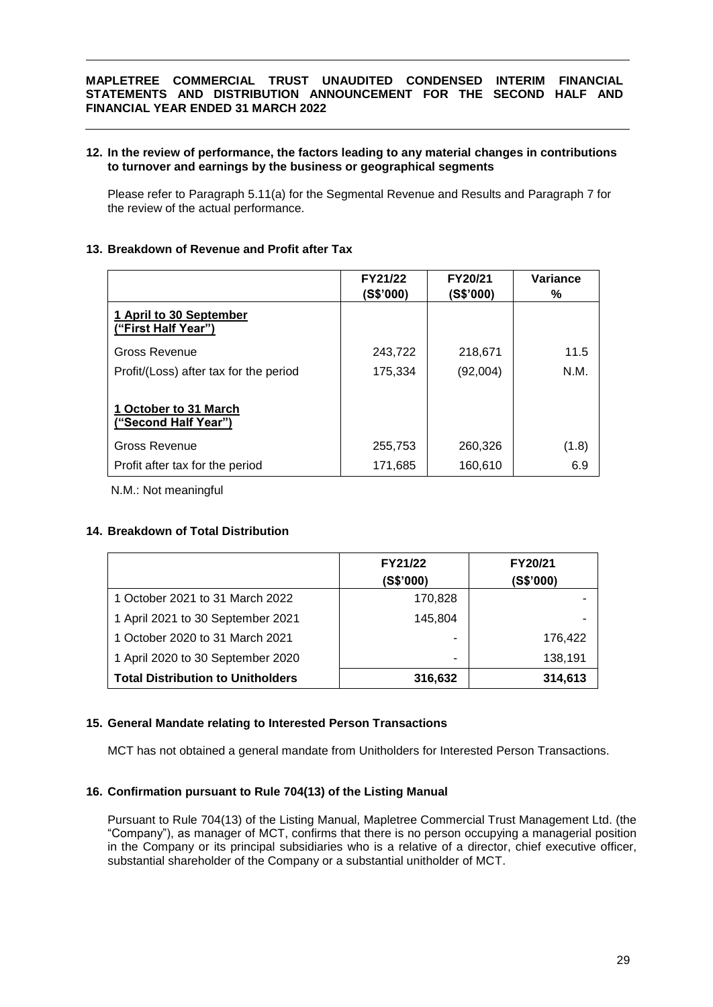### **12. In the review of performance, the factors leading to any material changes in contributions to turnover and earnings by the business or geographical segments**

Please refer to Paragraph 5.11(a) for the Segmental Revenue and Results and Paragraph 7 for the review of the actual performance.

### **13. Breakdown of Revenue and Profit after Tax**

|                                                | FY21/22<br>(S\$'000) | FY20/21<br>(S\$'000) | Variance<br>℅ |
|------------------------------------------------|----------------------|----------------------|---------------|
| 1 April to 30 September<br>("First Half Year") |                      |                      |               |
| Gross Revenue                                  | 243,722              | 218,671              | 11.5          |
| Profit/(Loss) after tax for the period         | 175,334              | (92,004)             | N.M.          |
| 1 October to 31 March<br>("Second Half Year")  |                      |                      |               |
| Gross Revenue                                  | 255,753              | 260,326              | (1.8)         |
| Profit after tax for the period                | 171,685              | 160,610              | 6.9           |

N.M.: Not meaningful

### **14. Breakdown of Total Distribution**

|                                          | FY21/22   | FY20/21   |
|------------------------------------------|-----------|-----------|
|                                          | (S\$'000) | (S\$'000) |
| 1 October 2021 to 31 March 2022          | 170,828   |           |
| 1 April 2021 to 30 September 2021        | 145,804   | ۰         |
| 1 October 2020 to 31 March 2021          |           | 176.422   |
| 1 April 2020 to 30 September 2020        | -         | 138,191   |
| <b>Total Distribution to Unitholders</b> | 316,632   | 314,613   |

### **15. General Mandate relating to Interested Person Transactions**

MCT has not obtained a general mandate from Unitholders for Interested Person Transactions.

### **16. Confirmation pursuant to Rule 704(13) of the Listing Manual**

Pursuant to Rule 704(13) of the Listing Manual, Mapletree Commercial Trust Management Ltd. (the "Company"), as manager of MCT, confirms that there is no person occupying a managerial position in the Company or its principal subsidiaries who is a relative of a director, chief executive officer, substantial shareholder of the Company or a substantial unitholder of MCT.